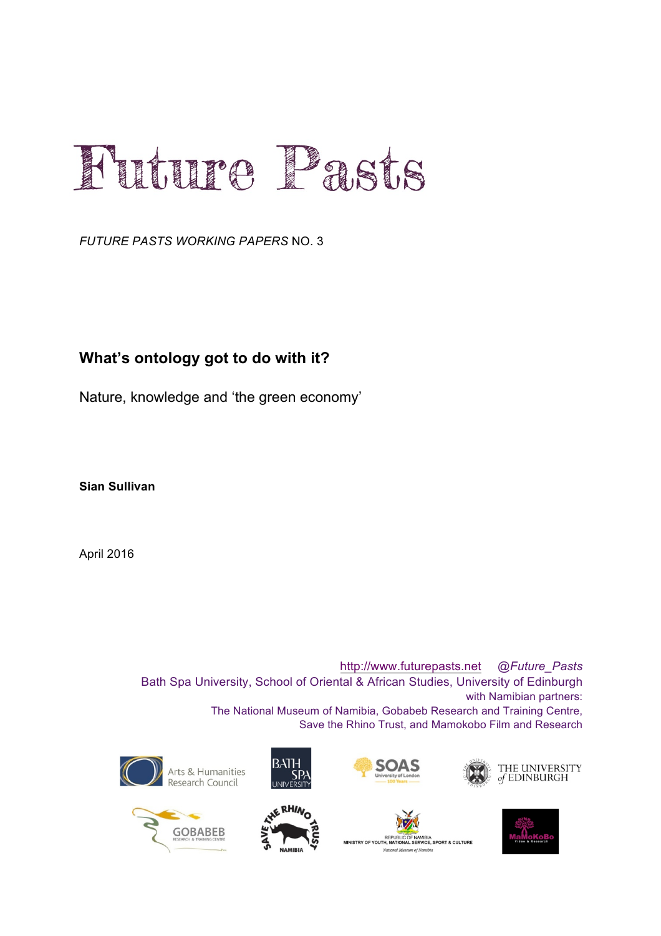# Future Pasts

*FUTURE PASTS WORKING PAPERS* NO. 3

### **What's ontology got to do with it?**

Nature, knowledge and 'the green economy'

**Sian Sullivan**

April 2016

http://www.futurepasts.net *@Future\_Pasts* Bath Spa University, School of Oriental & African Studies, University of Edinburgh with Namibian partners: The National Museum of Namibia, Gobabeb Research and Training Centre, Save the Rhino Trust, and Mamokobo Film and Research









REPUBI<br>YOUTH, NATIO



<sup>3IA</sup><br>CE. SPORT & CULTURI





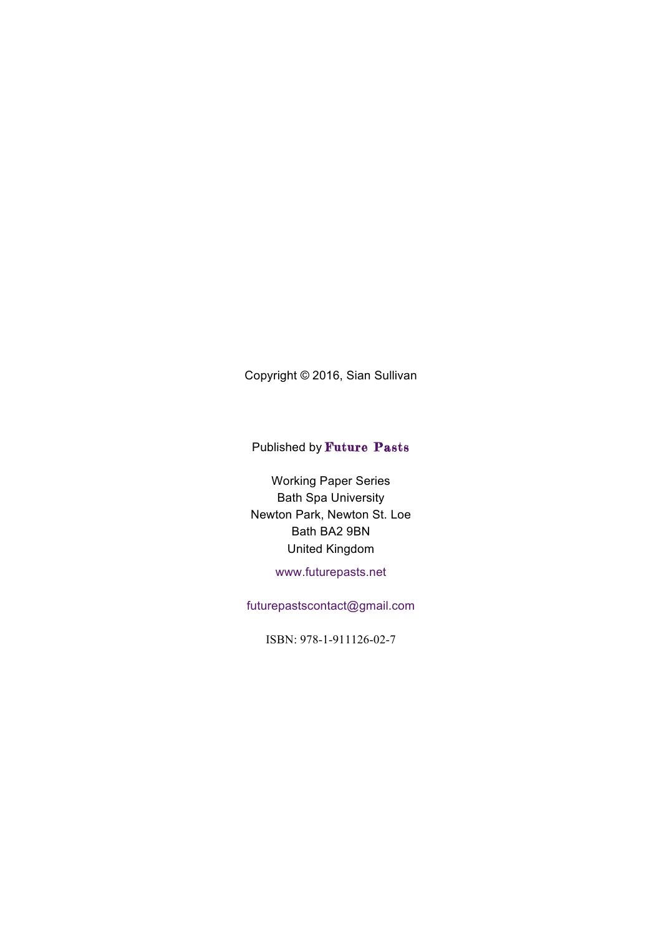Copyright © 2016, Sian Sullivan

### Published by Future Pasts

Working Paper Series Bath Spa University Newton Park, Newton St. Loe Bath BA2 9BN United Kingdom

www.futurepasts.net

futurepastscontact@gmail.com

ISBN: 978-1-911126-02-7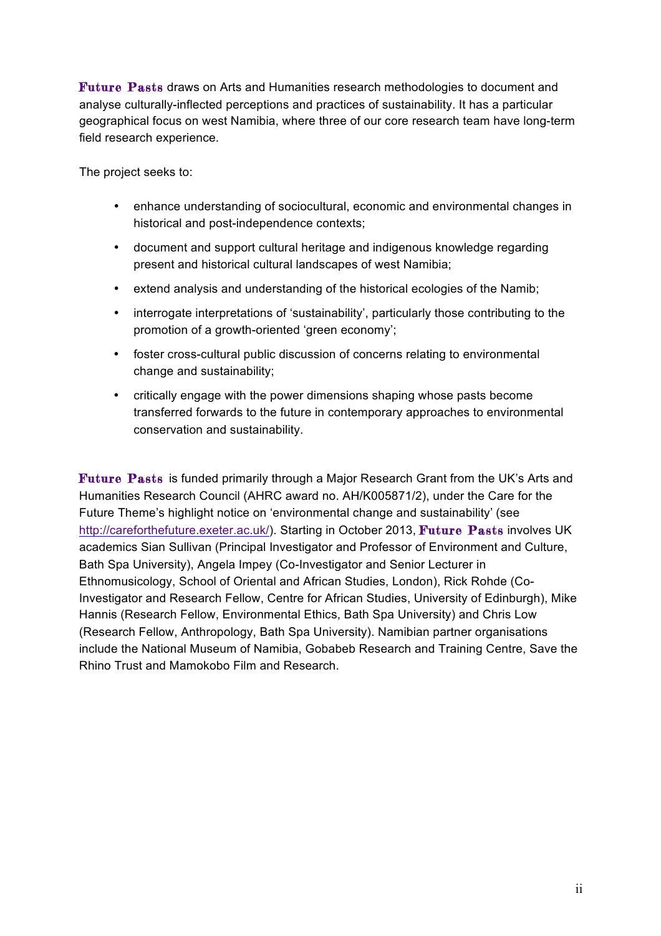Future Pasts draws on Arts and Humanities research methodologies to document and analyse culturally-inflected perceptions and practices of sustainability. It has a particular geographical focus on west Namibia, where three of our core research team have long-term field research experience.

The project seeks to:

- enhance understanding of sociocultural, economic and environmental changes in historical and post-independence contexts;
- document and support cultural heritage and indigenous knowledge regarding present and historical cultural landscapes of west Namibia;
- extend analysis and understanding of the historical ecologies of the Namib;
- interrogate interpretations of 'sustainability', particularly those contributing to the promotion of a growth-oriented 'green economy';
- foster cross-cultural public discussion of concerns relating to environmental change and sustainability;
- critically engage with the power dimensions shaping whose pasts become transferred forwards to the future in contemporary approaches to environmental conservation and sustainability.

Future Pasts is funded primarily through a Major Research Grant from the UK's Arts and Humanities Research Council (AHRC award no. AH/K005871/2), under the Care for the Future Theme's highlight notice on 'environmental change and sustainability' (see http://careforthefuture.exeter.ac.uk/). Starting in October 2013, Future Pasts involves UK academics Sian Sullivan (Principal Investigator and Professor of Environment and Culture, Bath Spa University), Angela Impey (Co-Investigator and Senior Lecturer in Ethnomusicology, School of Oriental and African Studies, London), Rick Rohde (Co-Investigator and Research Fellow, Centre for African Studies, University of Edinburgh), Mike Hannis (Research Fellow, Environmental Ethics, Bath Spa University) and Chris Low (Research Fellow, Anthropology, Bath Spa University). Namibian partner organisations include the National Museum of Namibia, Gobabeb Research and Training Centre, Save the Rhino Trust and Mamokobo Film and Research.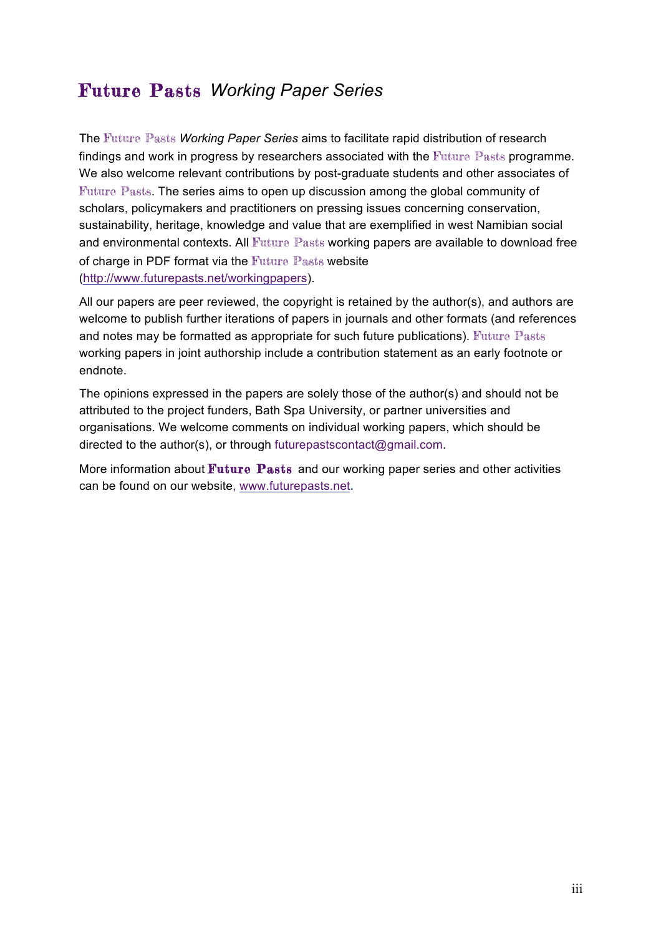# Future Pasts *Working Paper Series*

The Future Pasts *Working Paper Series* aims to facilitate rapid distribution of research findings and work in progress by researchers associated with the Future Pasts programme. We also welcome relevant contributions by post-graduate students and other associates of Future Pasts. The series aims to open up discussion among the global community of scholars, policymakers and practitioners on pressing issues concerning conservation, sustainability, heritage, knowledge and value that are exemplified in west Namibian social and environmental contexts. All Future Pasts working papers are available to download free of charge in PDF format via the Future Pasts website (http://www.futurepasts.net/workingpapers).

All our papers are peer reviewed, the copyright is retained by the author(s), and authors are welcome to publish further iterations of papers in journals and other formats (and references and notes may be formatted as appropriate for such future publications). Future Pasts working papers in joint authorship include a contribution statement as an early footnote or endnote.

The opinions expressed in the papers are solely those of the author(s) and should not be attributed to the project funders, Bath Spa University, or partner universities and organisations. We welcome comments on individual working papers, which should be directed to the author(s), or through futurepastscontact@gmail.com.

More information about  $\bf Future\; Passs$  and our working paper series and other activities can be found on our website, www.futurepasts.net**.**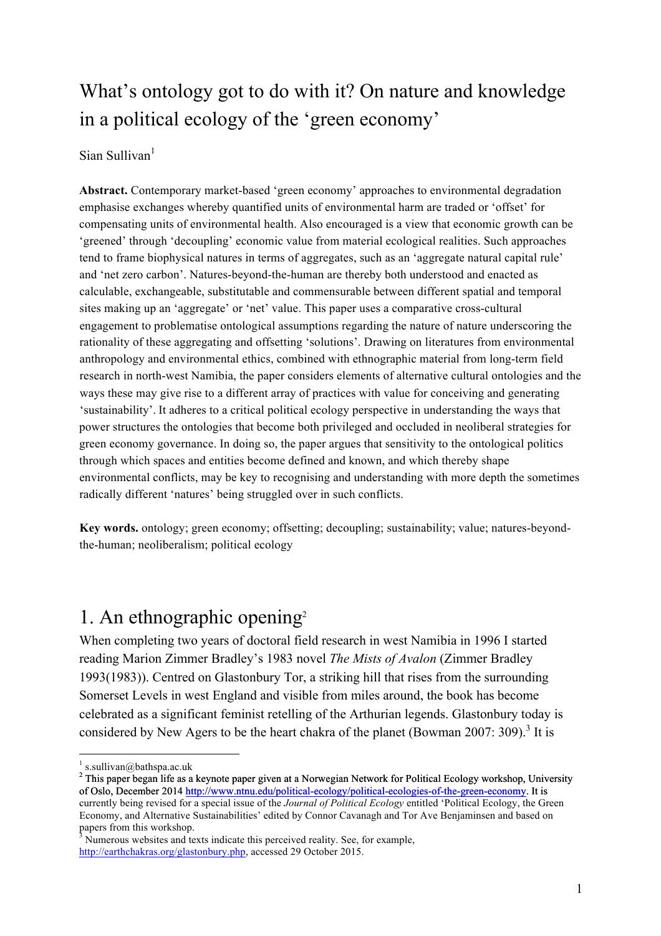# What's ontology got to do with it? On nature and knowledge in a political ecology of the 'green economy'

### Sian Sullivan<sup>1</sup>

**Abstract.** Contemporary market-based 'green economy' approaches to environmental degradation emphasise exchanges whereby quantified units of environmental harm are traded or 'offset' for compensating units of environmental health. Also encouraged is a view that economic growth can be 'greened' through 'decoupling' economic value from material ecological realities. Such approaches tend to frame biophysical natures in terms of aggregates, such as an 'aggregate natural capital rule' and 'net zero carbon'. Natures-beyond-the-human are thereby both understood and enacted as calculable, exchangeable, substitutable and commensurable between different spatial and temporal sites making up an 'aggregate' or 'net' value. This paper uses a comparative cross-cultural engagement to problematise ontological assumptions regarding the nature of nature underscoring the rationality of these aggregating and offsetting 'solutions'. Drawing on literatures from environmental anthropology and environmental ethics, combined with ethnographic material from long-term field research in north-west Namibia, the paper considers elements of alternative cultural ontologies and the ways these may give rise to a different array of practices with value for conceiving and generating 'sustainability'. It adheres to a critical political ecology perspective in understanding the ways that power structures the ontologies that become both privileged and occluded in neoliberal strategies for green economy governance. In doing so, the paper argues that sensitivity to the ontological politics through which spaces and entities become defined and known, and which thereby shape environmental conflicts, may be key to recognising and understanding with more depth the sometimes radically different 'natures' being struggled over in such conflicts.

**Key words.** ontology; green economy; offsetting; decoupling; sustainability; value; natures-beyondthe-human; neoliberalism; political ecology

## 1. An ethnographic opening<sup>2</sup>

When completing two years of doctoral field research in west Namibia in 1996 I started reading Marion Zimmer Bradley's 1983 novel *The Mists of Avalon* (Zimmer Bradley 1993(1983)). Centred on Glastonbury Tor, a striking hill that rises from the surrounding Somerset Levels in west England and visible from miles around, the book has become celebrated as a significant feminist retelling of the Arthurian legends. Glastonbury today is considered by New Agers to be the heart chakra of the planet (Bowman 2007: 309).<sup>3</sup> It is

<sup>&</sup>lt;sup>1</sup> s.sullivan@bathspa.ac.uk

<sup>&</sup>lt;sup>2</sup> This paper began life as a keynote paper given at a Norwegian Network for Political Ecology workshop, University of Oslo, December 2014 http://www.ntnu.edu/political-ecology/political-ecologies-of-the-green-economy. It is currently being revised for a special issue of the *Journal of Political Ecology* entitled 'Political Ecology, the Green Economy, and Alternative Sustainabilities' edited by Connor Cavanagh and Tor Ave Benjaminsen and based on

Numerous websites and texts indicate this perceived reality. See, for example, http://earthchakras.org/glastonbury.php, accessed 29 October 2015.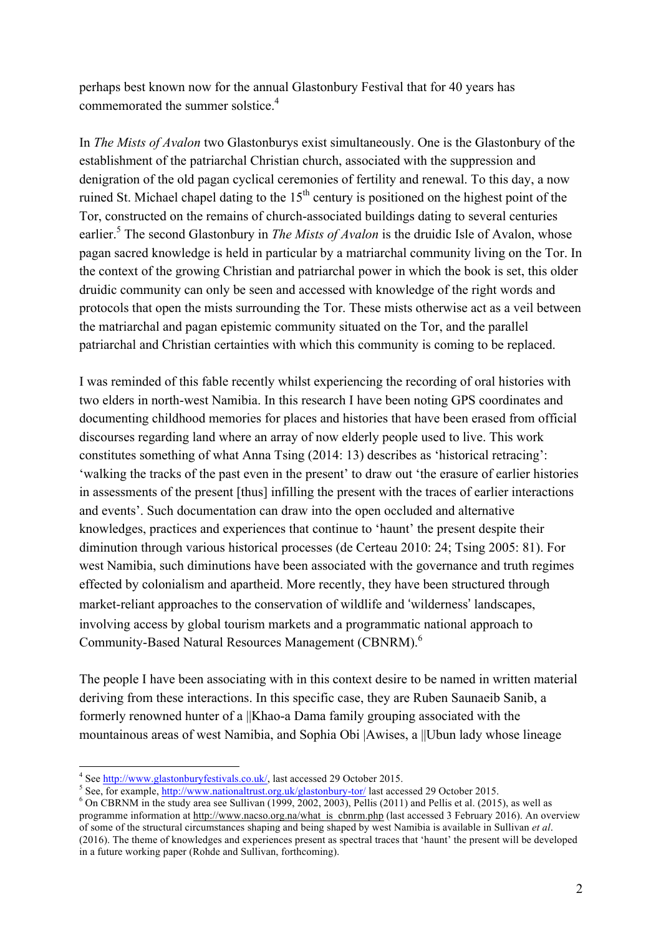perhaps best known now for the annual Glastonbury Festival that for 40 years has commemorated the summer solstice.<sup>4</sup>

In *The Mists of Avalon* two Glastonburys exist simultaneously. One is the Glastonbury of the establishment of the patriarchal Christian church, associated with the suppression and denigration of the old pagan cyclical ceremonies of fertility and renewal. To this day, a now ruined St. Michael chapel dating to the  $15<sup>th</sup>$  century is positioned on the highest point of the Tor, constructed on the remains of church-associated buildings dating to several centuries earlier.<sup>5</sup> The second Glastonbury in *The Mists of Avalon* is the druidic Isle of Avalon, whose pagan sacred knowledge is held in particular by a matriarchal community living on the Tor. In the context of the growing Christian and patriarchal power in which the book is set, this older druidic community can only be seen and accessed with knowledge of the right words and protocols that open the mists surrounding the Tor. These mists otherwise act as a veil between the matriarchal and pagan epistemic community situated on the Tor, and the parallel patriarchal and Christian certainties with which this community is coming to be replaced.

I was reminded of this fable recently whilst experiencing the recording of oral histories with two elders in north-west Namibia. In this research I have been noting GPS coordinates and documenting childhood memories for places and histories that have been erased from official discourses regarding land where an array of now elderly people used to live. This work constitutes something of what Anna Tsing (2014: 13) describes as 'historical retracing': 'walking the tracks of the past even in the present' to draw out 'the erasure of earlier histories in assessments of the present [thus] infilling the present with the traces of earlier interactions and events'. Such documentation can draw into the open occluded and alternative knowledges, practices and experiences that continue to 'haunt' the present despite their diminution through various historical processes (de Certeau 2010: 24; Tsing 2005: 81). For west Namibia, such diminutions have been associated with the governance and truth regimes effected by colonialism and apartheid. More recently, they have been structured through market-reliant approaches to the conservation of wildlife and 'wilderness' landscapes, involving access by global tourism markets and a programmatic national approach to Community-Based Natural Resources Management (CBNRM).<sup>6</sup>

The people I have been associating with in this context desire to be named in written material deriving from these interactions. In this specific case, they are Ruben Saunaeib Sanib, a formerly renowned hunter of a ||Khao-a Dama family grouping associated with the mountainous areas of west Namibia, and Sophia Obi |Awises, a ||Ubun lady whose lineage

<sup>&</sup>lt;sup>4</sup> See http://www.glastonburyfestivals.co.uk/, last accessed 29 October 2015.<br>
<sup>5</sup> See, for example, http://www.nationaltrust.org.uk/glastonbury-tor/ last accessed 29 October 2015.<br>
<sup>6</sup> On CBRNM in the study area see Sul programme information at http://www.nacso.org.na/what\_is\_cbnrm.php (last accessed 3 February 2016). An overview of some of the structural circumstances shaping and being shaped by west Namibia is available in Sullivan *et al*. (2016). The theme of knowledges and experiences present as spectral traces that 'haunt' the present will be developed in a future working paper (Rohde and Sullivan, forthcoming).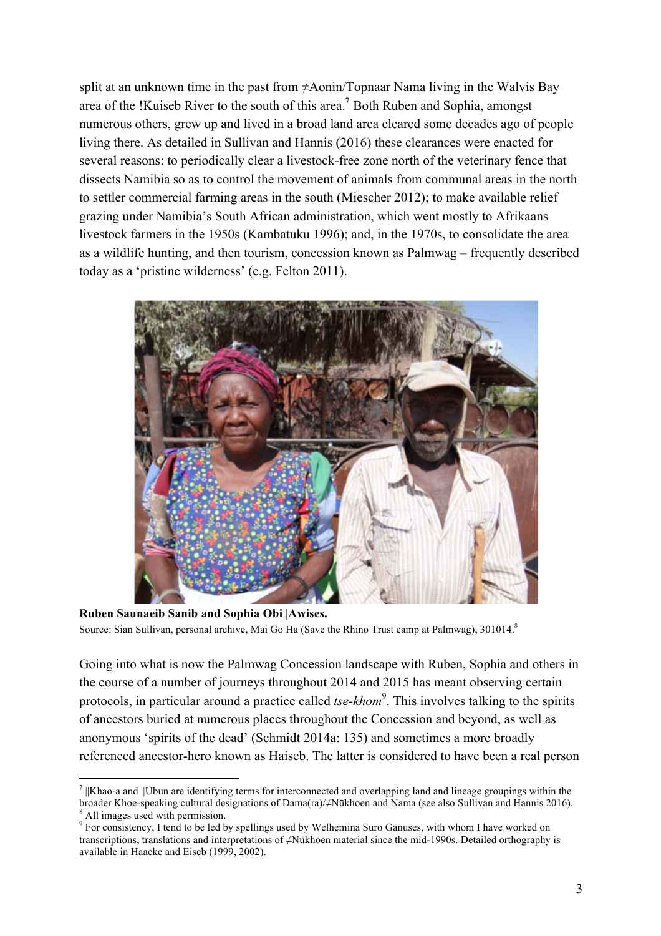split at an unknown time in the past from  $\neq$ Aonin/Topnaar Nama living in the Walvis Bay area of the !Kuiseb River to the south of this area.<sup>7</sup> Both Ruben and Sophia, amongst numerous others, grew up and lived in a broad land area cleared some decades ago of people living there. As detailed in Sullivan and Hannis (2016) these clearances were enacted for several reasons: to periodically clear a livestock-free zone north of the veterinary fence that dissects Namibia so as to control the movement of animals from communal areas in the north to settler commercial farming areas in the south (Miescher 2012); to make available relief grazing under Namibia's South African administration, which went mostly to Afrikaans livestock farmers in the 1950s (Kambatuku 1996); and, in the 1970s, to consolidate the area as a wildlife hunting, and then tourism, concession known as Palmwag – frequently described today as a 'pristine wilderness' (e.g. Felton 2011).



**Ruben Saunaeib Sanib and Sophia Obi |Awises.** Source: Sian Sullivan, personal archive, Mai Go Ha (Save the Rhino Trust camp at Palmwag), 301014.<sup>8</sup>

Going into what is now the Palmwag Concession landscape with Ruben, Sophia and others in the course of a number of journeys throughout 2014 and 2015 has meant observing certain protocols, in particular around a practice called *tse-khom*<sup>9</sup>. This involves talking to the spirits of ancestors buried at numerous places throughout the Concession and beyond, as well as anonymous 'spirits of the dead' (Schmidt 2014a: 135) and sometimes a more broadly referenced ancestor-hero known as Haiseb. The latter is considered to have been a real person

 $^7$  ||Khao-a and ||Ubun are identifying terms for interconnected and overlapping land and lineage groupings within the broader Khoe-speaking cultural designations of Dama(ra)/ $\neq$ Nūkhoen and Nama (see also Sullivan and Hannis 2016).<br><sup>8</sup> All images used with permission.<br><sup>9</sup> For consistency, I tend to be led by spellings used by Welhemina

transcriptions, translations and interpretations of ≠Nūkhoen material since the mid-1990s. Detailed orthography is available in Haacke and Eiseb (1999, 2002).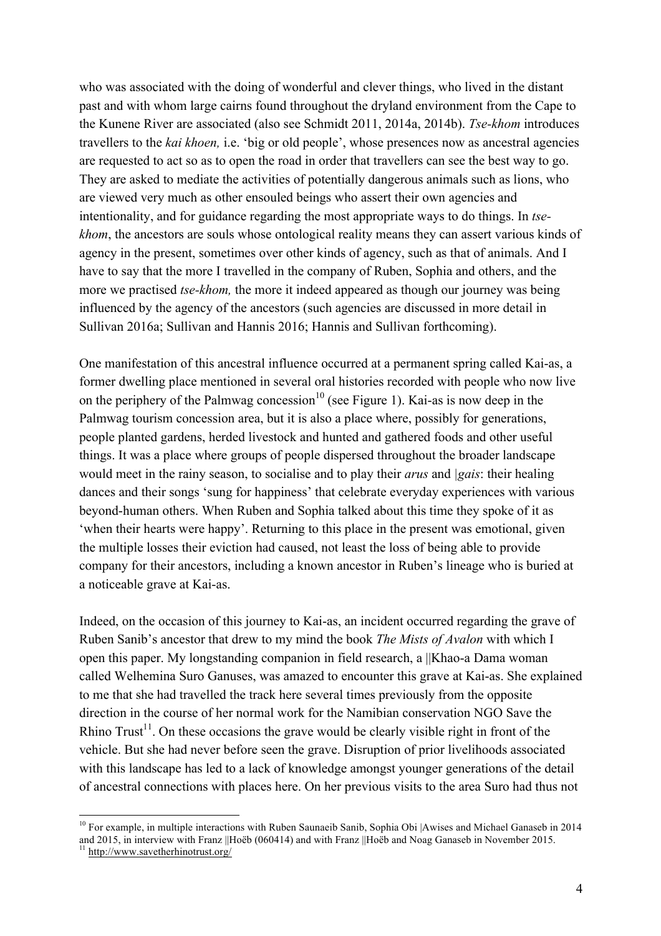who was associated with the doing of wonderful and clever things, who lived in the distant past and with whom large cairns found throughout the dryland environment from the Cape to the Kunene River are associated (also see Schmidt 2011, 2014a, 2014b). *Tse-khom* introduces travellers to the *kai khoen,* i.e. 'big or old people', whose presences now as ancestral agencies are requested to act so as to open the road in order that travellers can see the best way to go. They are asked to mediate the activities of potentially dangerous animals such as lions, who are viewed very much as other ensouled beings who assert their own agencies and intentionality, and for guidance regarding the most appropriate ways to do things. In *tsekhom*, the ancestors are souls whose ontological reality means they can assert various kinds of agency in the present, sometimes over other kinds of agency, such as that of animals. And I have to say that the more I travelled in the company of Ruben, Sophia and others, and the more we practised *tse-khom,* the more it indeed appeared as though our journey was being influenced by the agency of the ancestors (such agencies are discussed in more detail in Sullivan 2016a; Sullivan and Hannis 2016; Hannis and Sullivan forthcoming).

One manifestation of this ancestral influence occurred at a permanent spring called Kai-as, a former dwelling place mentioned in several oral histories recorded with people who now live on the periphery of the Palmwag concession<sup>10</sup> (see Figure 1). Kai-as is now deep in the Palmwag tourism concession area, but it is also a place where, possibly for generations, people planted gardens, herded livestock and hunted and gathered foods and other useful things. It was a place where groups of people dispersed throughout the broader landscape would meet in the rainy season, to socialise and to play their *arus* and *|gais*: their healing dances and their songs 'sung for happiness' that celebrate everyday experiences with various beyond-human others. When Ruben and Sophia talked about this time they spoke of it as 'when their hearts were happy'. Returning to this place in the present was emotional, given the multiple losses their eviction had caused, not least the loss of being able to provide company for their ancestors, including a known ancestor in Ruben's lineage who is buried at a noticeable grave at Kai-as.

Indeed, on the occasion of this journey to Kai-as, an incident occurred regarding the grave of Ruben Sanib's ancestor that drew to my mind the book *The Mists of Avalon* with which I open this paper. My longstanding companion in field research, a ||Khao-a Dama woman called Welhemina Suro Ganuses, was amazed to encounter this grave at Kai-as. She explained to me that she had travelled the track here several times previously from the opposite direction in the course of her normal work for the Namibian conservation NGO Save the Rhino  $Trust<sup>11</sup>$ . On these occasions the grave would be clearly visible right in front of the vehicle. But she had never before seen the grave. Disruption of prior livelihoods associated with this landscape has led to a lack of knowledge amongst younger generations of the detail of ancestral connections with places here. On her previous visits to the area Suro had thus not

<sup>&</sup>lt;sup>10</sup> For example, in multiple interactions with Ruben Saunaeib Sanib, Sophia Obi |Awises and Michael Ganaseb in 2014 and 2015, in interview with Franz ||Hoëb (060414) and with Franz ||Hoëb and Noag Ganaseb in November 2015.<br><sup>11</sup> http://www.savetherhinotrust.org/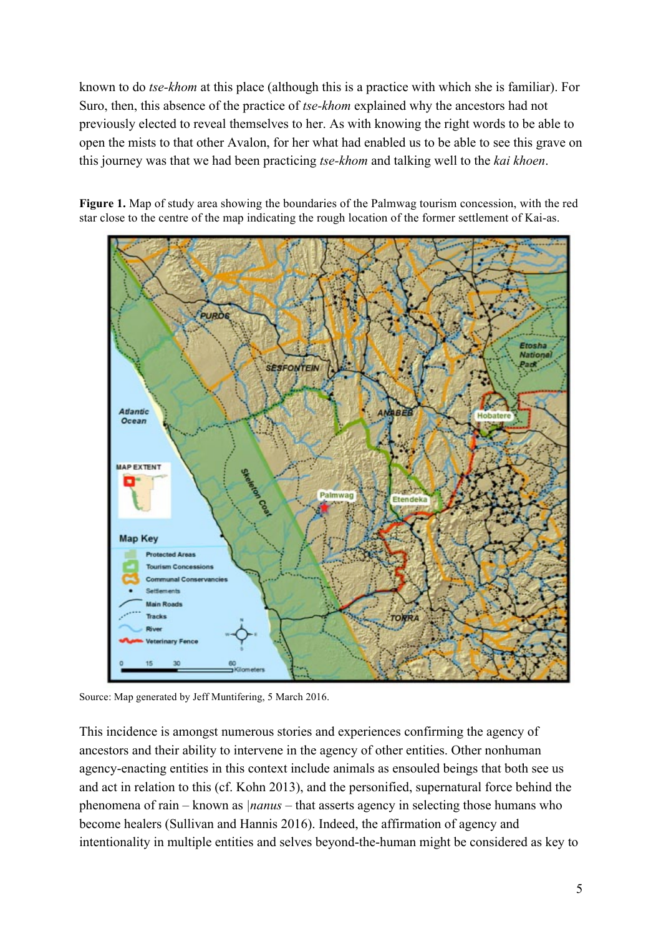known to do *tse-khom* at this place (although this is a practice with which she is familiar). For Suro, then, this absence of the practice of *tse-khom* explained why the ancestors had not previously elected to reveal themselves to her. As with knowing the right words to be able to open the mists to that other Avalon, for her what had enabled us to be able to see this grave on this journey was that we had been practicing *tse-khom* and talking well to the *kai khoen*.

**Figure 1.** Map of study area showing the boundaries of the Palmwag tourism concession, with the red star close to the centre of the map indicating the rough location of the former settlement of Kai-as.



Source: Map generated by Jeff Muntifering, 5 March 2016.

This incidence is amongst numerous stories and experiences confirming the agency of ancestors and their ability to intervene in the agency of other entities. Other nonhuman agency-enacting entities in this context include animals as ensouled beings that both see us and act in relation to this (cf. Kohn 2013), and the personified, supernatural force behind the phenomena of rain – known as *|nanus* – that asserts agency in selecting those humans who become healers (Sullivan and Hannis 2016). Indeed, the affirmation of agency and intentionality in multiple entities and selves beyond-the-human might be considered as key to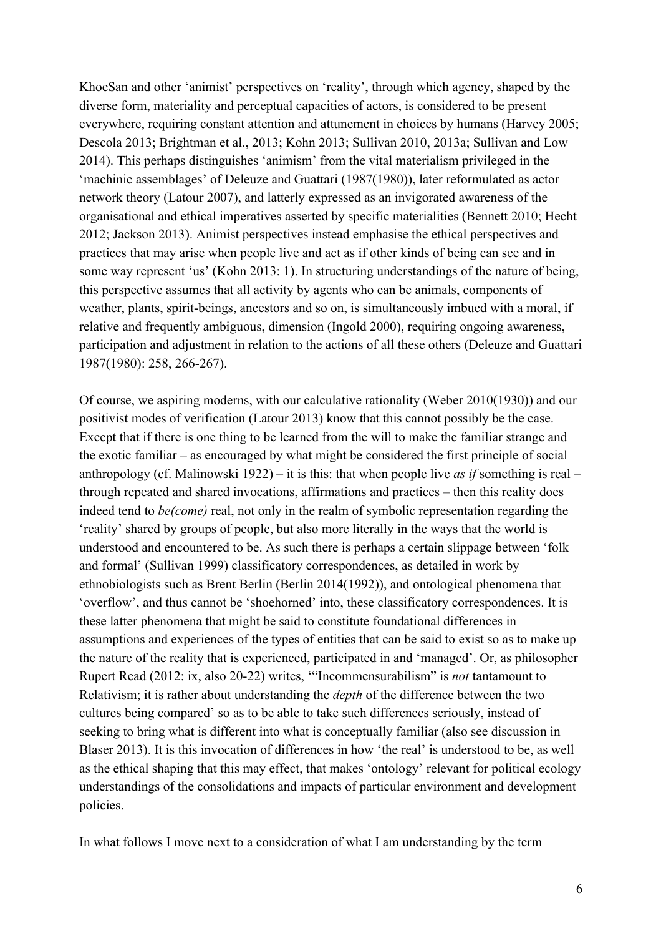KhoeSan and other 'animist' perspectives on 'reality', through which agency, shaped by the diverse form, materiality and perceptual capacities of actors, is considered to be present everywhere, requiring constant attention and attunement in choices by humans (Harvey 2005; Descola 2013; Brightman et al., 2013; Kohn 2013; Sullivan 2010, 2013a; Sullivan and Low 2014). This perhaps distinguishes 'animism' from the vital materialism privileged in the 'machinic assemblages' of Deleuze and Guattari (1987(1980)), later reformulated as actor network theory (Latour 2007), and latterly expressed as an invigorated awareness of the organisational and ethical imperatives asserted by specific materialities (Bennett 2010; Hecht 2012; Jackson 2013). Animist perspectives instead emphasise the ethical perspectives and practices that may arise when people live and act as if other kinds of being can see and in some way represent 'us' (Kohn 2013: 1). In structuring understandings of the nature of being, this perspective assumes that all activity by agents who can be animals, components of weather, plants, spirit-beings, ancestors and so on, is simultaneously imbued with a moral, if relative and frequently ambiguous, dimension (Ingold 2000), requiring ongoing awareness, participation and adjustment in relation to the actions of all these others (Deleuze and Guattari 1987(1980): 258, 266-267).

Of course, we aspiring moderns, with our calculative rationality (Weber 2010(1930)) and our positivist modes of verification (Latour 2013) know that this cannot possibly be the case. Except that if there is one thing to be learned from the will to make the familiar strange and the exotic familiar – as encouraged by what might be considered the first principle of social anthropology (cf. Malinowski 1922) – it is this: that when people live *as if* something is real – through repeated and shared invocations, affirmations and practices – then this reality does indeed tend to *be(come)* real, not only in the realm of symbolic representation regarding the 'reality' shared by groups of people, but also more literally in the ways that the world is understood and encountered to be. As such there is perhaps a certain slippage between 'folk and formal' (Sullivan 1999) classificatory correspondences, as detailed in work by ethnobiologists such as Brent Berlin (Berlin 2014(1992)), and ontological phenomena that 'overflow', and thus cannot be 'shoehorned' into, these classificatory correspondences. It is these latter phenomena that might be said to constitute foundational differences in assumptions and experiences of the types of entities that can be said to exist so as to make up the nature of the reality that is experienced, participated in and 'managed'. Or, as philosopher Rupert Read (2012: ix, also 20-22) writes, '"Incommensurabilism" is *not* tantamount to Relativism; it is rather about understanding the *depth* of the difference between the two cultures being compared' so as to be able to take such differences seriously, instead of seeking to bring what is different into what is conceptually familiar (also see discussion in Blaser 2013). It is this invocation of differences in how 'the real' is understood to be, as well as the ethical shaping that this may effect, that makes 'ontology' relevant for political ecology understandings of the consolidations and impacts of particular environment and development policies.

In what follows I move next to a consideration of what I am understanding by the term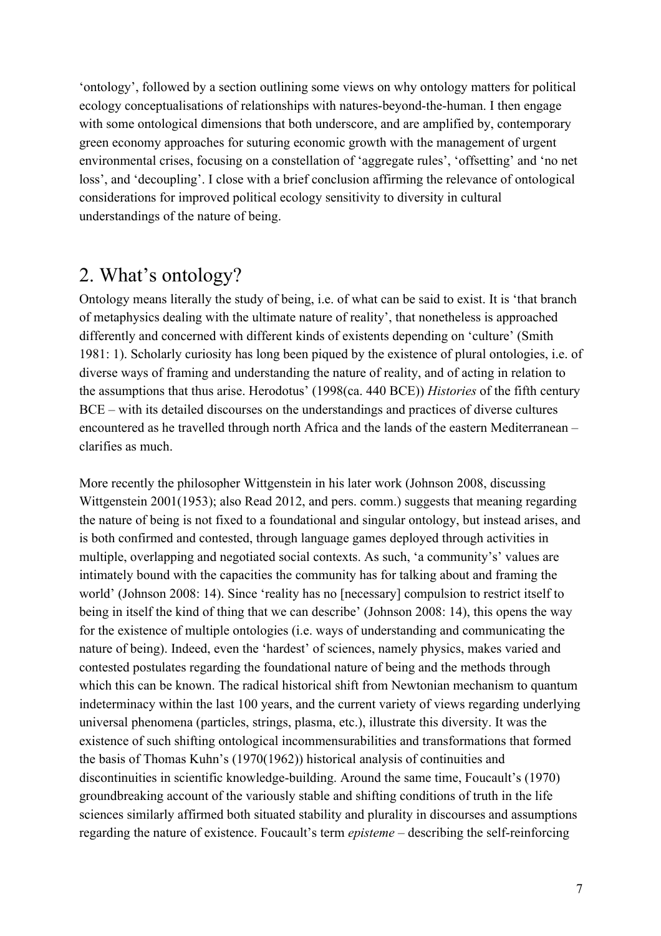'ontology', followed by a section outlining some views on why ontology matters for political ecology conceptualisations of relationships with natures-beyond-the-human. I then engage with some ontological dimensions that both underscore, and are amplified by, contemporary green economy approaches for suturing economic growth with the management of urgent environmental crises, focusing on a constellation of 'aggregate rules', 'offsetting' and 'no net loss', and 'decoupling'. I close with a brief conclusion affirming the relevance of ontological considerations for improved political ecology sensitivity to diversity in cultural understandings of the nature of being.

### 2. What's ontology?

Ontology means literally the study of being, i.e. of what can be said to exist. It is 'that branch of metaphysics dealing with the ultimate nature of reality', that nonetheless is approached differently and concerned with different kinds of existents depending on 'culture' (Smith 1981: 1). Scholarly curiosity has long been piqued by the existence of plural ontologies, i.e. of diverse ways of framing and understanding the nature of reality, and of acting in relation to the assumptions that thus arise. Herodotus' (1998(ca. 440 BCE)) *Histories* of the fifth century BCE – with its detailed discourses on the understandings and practices of diverse cultures encountered as he travelled through north Africa and the lands of the eastern Mediterranean – clarifies as much.

More recently the philosopher Wittgenstein in his later work (Johnson 2008, discussing Wittgenstein 2001(1953); also Read 2012, and pers. comm.) suggests that meaning regarding the nature of being is not fixed to a foundational and singular ontology, but instead arises, and is both confirmed and contested, through language games deployed through activities in multiple, overlapping and negotiated social contexts. As such, 'a community's' values are intimately bound with the capacities the community has for talking about and framing the world' (Johnson 2008: 14). Since 'reality has no [necessary] compulsion to restrict itself to being in itself the kind of thing that we can describe' (Johnson 2008: 14), this opens the way for the existence of multiple ontologies (i.e. ways of understanding and communicating the nature of being). Indeed, even the 'hardest' of sciences, namely physics, makes varied and contested postulates regarding the foundational nature of being and the methods through which this can be known. The radical historical shift from Newtonian mechanism to quantum indeterminacy within the last 100 years, and the current variety of views regarding underlying universal phenomena (particles, strings, plasma, etc.), illustrate this diversity. It was the existence of such shifting ontological incommensurabilities and transformations that formed the basis of Thomas Kuhn's (1970(1962)) historical analysis of continuities and discontinuities in scientific knowledge-building. Around the same time, Foucault's (1970) groundbreaking account of the variously stable and shifting conditions of truth in the life sciences similarly affirmed both situated stability and plurality in discourses and assumptions regarding the nature of existence. Foucault's term *episteme* – describing the self-reinforcing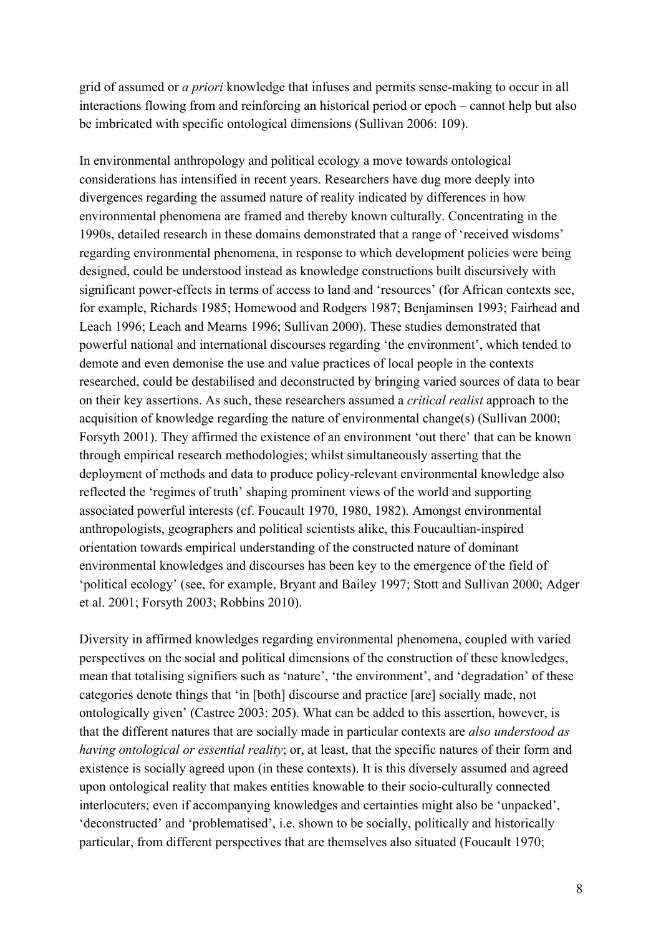grid of assumed or *a priori* knowledge that infuses and permits sense-making to occur in all interactions flowing from and reinforcing an historical period or epoch – cannot help but also be imbricated with specific ontological dimensions (Sullivan 2006: 109).

In environmental anthropology and political ecology a move towards ontological considerations has intensified in recent years. Researchers have dug more deeply into divergences regarding the assumed nature of reality indicated by differences in how environmental phenomena are framed and thereby known culturally. Concentrating in the 1990s, detailed research in these domains demonstrated that a range of 'received wisdoms' regarding environmental phenomena, in response to which development policies were being designed, could be understood instead as knowledge constructions built discursively with significant power-effects in terms of access to land and 'resources' (for African contexts see, for example, Richards 1985; Homewood and Rodgers 1987; Benjaminsen 1993; Fairhead and Leach 1996; Leach and Mearns 1996; Sullivan 2000). These studies demonstrated that powerful national and international discourses regarding 'the environment', which tended to demote and even demonise the use and value practices of local people in the contexts researched, could be destabilised and deconstructed by bringing varied sources of data to bear on their key assertions. As such, these researchers assumed a *critical realist* approach to the acquisition of knowledge regarding the nature of environmental change(s) (Sullivan 2000; Forsyth 2001). They affirmed the existence of an environment 'out there' that can be known through empirical research methodologies; whilst simultaneously asserting that the deployment of methods and data to produce policy-relevant environmental knowledge also reflected the 'regimes of truth' shaping prominent views of the world and supporting associated powerful interests (cf. Foucault 1970, 1980, 1982). Amongst environmental anthropologists, geographers and political scientists alike, this Foucaultian-inspired orientation towards empirical understanding of the constructed nature of dominant environmental knowledges and discourses has been key to the emergence of the field of 'political ecology' (see, for example, Bryant and Bailey 1997; Stott and Sullivan 2000; Adger et al. 2001; Forsyth 2003; Robbins 2010).

Diversity in affirmed knowledges regarding environmental phenomena, coupled with varied perspectives on the social and political dimensions of the construction of these knowledges, mean that totalising signifiers such as 'nature', 'the environment', and 'degradation' of these categories denote things that 'in [both] discourse and practice [are] socially made, not ontologically given' (Castree 2003: 205). What can be added to this assertion, however, is that the different natures that are socially made in particular contexts are *also understood as having ontological or essential reality*; or, at least, that the specific natures of their form and existence is socially agreed upon (in these contexts). It is this diversely assumed and agreed upon ontological reality that makes entities knowable to their socio-culturally connected interlocuters; even if accompanying knowledges and certainties might also be 'unpacked', 'deconstructed' and 'problematised', i.e. shown to be socially, politically and historically particular, from different perspectives that are themselves also situated (Foucault 1970;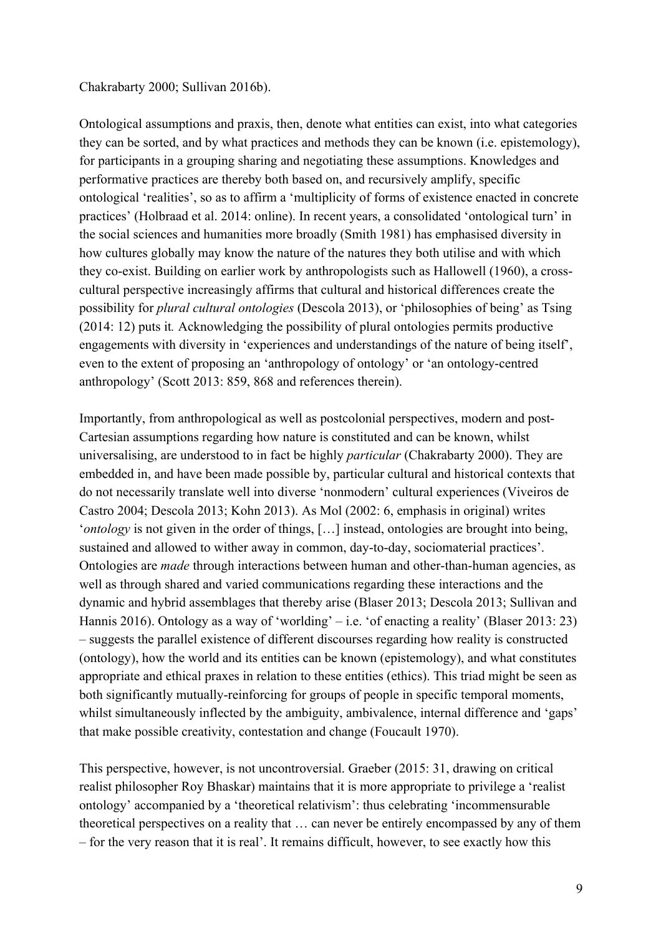#### Chakrabarty 2000; Sullivan 2016b).

Ontological assumptions and praxis, then, denote what entities can exist, into what categories they can be sorted, and by what practices and methods they can be known (i.e. epistemology), for participants in a grouping sharing and negotiating these assumptions. Knowledges and performative practices are thereby both based on, and recursively amplify, specific ontological 'realities', so as to affirm a 'multiplicity of forms of existence enacted in concrete practices' (Holbraad et al. 2014: online). In recent years, a consolidated 'ontological turn' in the social sciences and humanities more broadly (Smith 1981) has emphasised diversity in how cultures globally may know the nature of the natures they both utilise and with which they co-exist. Building on earlier work by anthropologists such as Hallowell (1960), a crosscultural perspective increasingly affirms that cultural and historical differences create the possibility for *plural cultural ontologies* (Descola 2013), or 'philosophies of being' as Tsing (2014: 12) puts it*.* Acknowledging the possibility of plural ontologies permits productive engagements with diversity in 'experiences and understandings of the nature of being itself', even to the extent of proposing an 'anthropology of ontology' or 'an ontology-centred anthropology' (Scott 2013: 859, 868 and references therein).

Importantly, from anthropological as well as postcolonial perspectives, modern and post-Cartesian assumptions regarding how nature is constituted and can be known, whilst universalising, are understood to in fact be highly *particular* (Chakrabarty 2000). They are embedded in, and have been made possible by, particular cultural and historical contexts that do not necessarily translate well into diverse 'nonmodern' cultural experiences (Viveiros de Castro 2004; Descola 2013; Kohn 2013). As Mol (2002: 6, emphasis in original) writes '*ontology* is not given in the order of things, […] instead, ontologies are brought into being, sustained and allowed to wither away in common, day-to-day, sociomaterial practices'. Ontologies are *made* through interactions between human and other-than-human agencies, as well as through shared and varied communications regarding these interactions and the dynamic and hybrid assemblages that thereby arise (Blaser 2013; Descola 2013; Sullivan and Hannis 2016). Ontology as a way of 'worlding' – i.e. 'of enacting a reality' (Blaser 2013: 23) – suggests the parallel existence of different discourses regarding how reality is constructed (ontology), how the world and its entities can be known (epistemology), and what constitutes appropriate and ethical praxes in relation to these entities (ethics). This triad might be seen as both significantly mutually-reinforcing for groups of people in specific temporal moments, whilst simultaneously inflected by the ambiguity, ambivalence, internal difference and 'gaps' that make possible creativity, contestation and change (Foucault 1970).

This perspective, however, is not uncontroversial. Graeber (2015: 31, drawing on critical realist philosopher Roy Bhaskar) maintains that it is more appropriate to privilege a 'realist ontology' accompanied by a 'theoretical relativism': thus celebrating 'incommensurable theoretical perspectives on a reality that … can never be entirely encompassed by any of them – for the very reason that it is real'. It remains difficult, however, to see exactly how this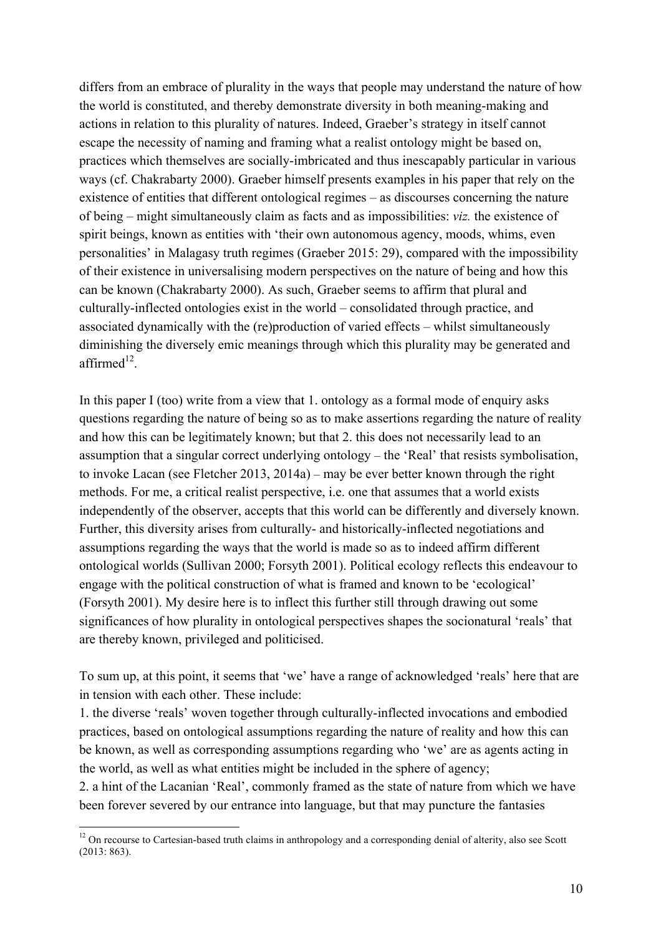differs from an embrace of plurality in the ways that people may understand the nature of how the world is constituted, and thereby demonstrate diversity in both meaning-making and actions in relation to this plurality of natures. Indeed, Graeber's strategy in itself cannot escape the necessity of naming and framing what a realist ontology might be based on, practices which themselves are socially-imbricated and thus inescapably particular in various ways (cf. Chakrabarty 2000). Graeber himself presents examples in his paper that rely on the existence of entities that different ontological regimes – as discourses concerning the nature of being – might simultaneously claim as facts and as impossibilities: *viz.* the existence of spirit beings, known as entities with 'their own autonomous agency, moods, whims, even personalities' in Malagasy truth regimes (Graeber 2015: 29), compared with the impossibility of their existence in universalising modern perspectives on the nature of being and how this can be known (Chakrabarty 2000). As such, Graeber seems to affirm that plural and culturally-inflected ontologies exist in the world – consolidated through practice, and associated dynamically with the (re)production of varied effects – whilst simultaneously diminishing the diversely emic meanings through which this plurality may be generated and affirmed $12$ .

In this paper I (too) write from a view that 1. ontology as a formal mode of enquiry asks questions regarding the nature of being so as to make assertions regarding the nature of reality and how this can be legitimately known; but that 2. this does not necessarily lead to an assumption that a singular correct underlying ontology – the 'Real' that resists symbolisation, to invoke Lacan (see Fletcher 2013, 2014a) – may be ever better known through the right methods. For me, a critical realist perspective, i.e. one that assumes that a world exists independently of the observer, accepts that this world can be differently and diversely known. Further, this diversity arises from culturally- and historically-inflected negotiations and assumptions regarding the ways that the world is made so as to indeed affirm different ontological worlds (Sullivan 2000; Forsyth 2001). Political ecology reflects this endeavour to engage with the political construction of what is framed and known to be 'ecological' (Forsyth 2001). My desire here is to inflect this further still through drawing out some significances of how plurality in ontological perspectives shapes the socionatural 'reals' that are thereby known, privileged and politicised.

To sum up, at this point, it seems that 'we' have a range of acknowledged 'reals' here that are in tension with each other. These include:

1. the diverse 'reals' woven together through culturally-inflected invocations and embodied practices, based on ontological assumptions regarding the nature of reality and how this can be known, as well as corresponding assumptions regarding who 'we' are as agents acting in the world, as well as what entities might be included in the sphere of agency;

2. a hint of the Lacanian 'Real', commonly framed as the state of nature from which we have been forever severed by our entrance into language, but that may puncture the fantasies

<sup>&</sup>lt;sup>12</sup> On recourse to Cartesian-based truth claims in anthropology and a corresponding denial of alterity, also see Scott (2013: 863).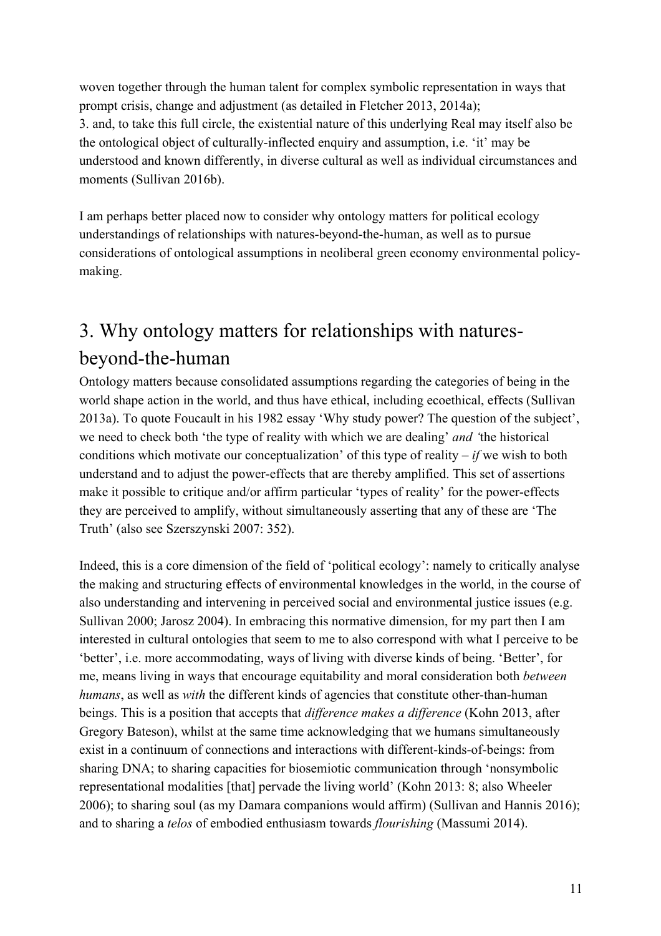woven together through the human talent for complex symbolic representation in ways that prompt crisis, change and adjustment (as detailed in Fletcher 2013, 2014a); 3. and, to take this full circle, the existential nature of this underlying Real may itself also be the ontological object of culturally-inflected enquiry and assumption, i.e. 'it' may be understood and known differently, in diverse cultural as well as individual circumstances and moments (Sullivan 2016b).

I am perhaps better placed now to consider why ontology matters for political ecology understandings of relationships with natures-beyond-the-human, as well as to pursue considerations of ontological assumptions in neoliberal green economy environmental policymaking.

# 3. Why ontology matters for relationships with naturesbeyond-the-human

Ontology matters because consolidated assumptions regarding the categories of being in the world shape action in the world, and thus have ethical, including ecoethical, effects (Sullivan 2013a). To quote Foucault in his 1982 essay 'Why study power? The question of the subject', we need to check both 'the type of reality with which we are dealing' *and '*the historical conditions which motivate our conceptualization' of this type of reality – *if* we wish to both understand and to adjust the power-effects that are thereby amplified. This set of assertions make it possible to critique and/or affirm particular 'types of reality' for the power-effects they are perceived to amplify, without simultaneously asserting that any of these are 'The Truth' (also see Szerszynski 2007: 352).

Indeed, this is a core dimension of the field of 'political ecology': namely to critically analyse the making and structuring effects of environmental knowledges in the world, in the course of also understanding and intervening in perceived social and environmental justice issues (e.g. Sullivan 2000; Jarosz 2004). In embracing this normative dimension, for my part then I am interested in cultural ontologies that seem to me to also correspond with what I perceive to be 'better', i.e. more accommodating, ways of living with diverse kinds of being. 'Better', for me, means living in ways that encourage equitability and moral consideration both *between humans*, as well as *with* the different kinds of agencies that constitute other-than-human beings. This is a position that accepts that *difference makes a difference* (Kohn 2013, after Gregory Bateson), whilst at the same time acknowledging that we humans simultaneously exist in a continuum of connections and interactions with different-kinds-of-beings: from sharing DNA; to sharing capacities for biosemiotic communication through 'nonsymbolic representational modalities [that] pervade the living world' (Kohn 2013: 8; also Wheeler 2006); to sharing soul (as my Damara companions would affirm) (Sullivan and Hannis 2016); and to sharing a *telos* of embodied enthusiasm towards *flourishing* (Massumi 2014).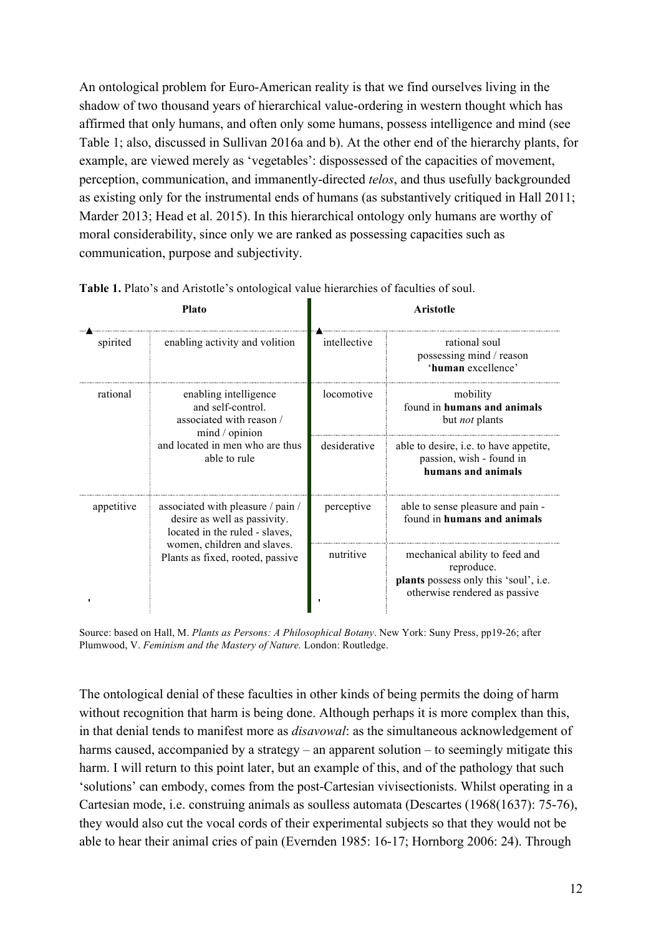An ontological problem for Euro-American reality is that we find ourselves living in the shadow of two thousand years of hierarchical value-ordering in western thought which has affirmed that only humans, and often only some humans, possess intelligence and mind (see Table 1; also, discussed in Sullivan 2016a and b). At the other end of the hierarchy plants, for example, are viewed merely as 'vegetables': dispossessed of the capacities of movement, perception, communication, and immanently-directed *telos*, and thus usefully backgrounded as existing only for the instrumental ends of humans (as substantively critiqued in Hall 2011; Marder 2013; Head et al. 2015). In this hierarchical ontology only humans are worthy of moral considerability, since only we are ranked as possessing capacities such as communication, purpose and subjectivity.

|            | Plato                                                                                               | Aristotle    |                                                                                                                        |  |  |  |
|------------|-----------------------------------------------------------------------------------------------------|--------------|------------------------------------------------------------------------------------------------------------------------|--|--|--|
| spirited   | enabling activity and volition                                                                      | intellective | rational soul<br>possessing mind / reason<br>'human excellence'                                                        |  |  |  |
| rational   | enabling intelligence<br>and self-control.<br>associated with reason /<br>mind / opinion            | locomotive   | mobility<br>found in humans and animals<br>but <i>not</i> plants                                                       |  |  |  |
|            | and located in men who are thus<br>able to rule                                                     | desiderative | able to desire, <i>i.e.</i> to have appetite,<br>passion, wish - found in<br>humans and animals                        |  |  |  |
| appetitive | associated with pleasure / pain /<br>desire as well as passivity.<br>located in the ruled - slaves, | perceptive   | able to sense pleasure and pain -<br>found in humans and animals                                                       |  |  |  |
|            | women, children and slaves.<br>Plants as fixed, rooted, passive                                     | nutritive    | mechanical ability to feed and<br>reproduce.<br>plants possess only this 'soul', i.e.<br>otherwise rendered as passive |  |  |  |

| Table 1. Plato's and Aristotle's ontological value hierarchies of faculties of soul. |  |  |  |  |  |  |  |  |  |  |  |  |
|--------------------------------------------------------------------------------------|--|--|--|--|--|--|--|--|--|--|--|--|
|--------------------------------------------------------------------------------------|--|--|--|--|--|--|--|--|--|--|--|--|

Source: based on Hall, M. *Plants as Persons: A Philosophical Botany*. New York: Suny Press, pp19-26; after Plumwood, V. *Feminism and the Mastery of Nature.* London: Routledge.

The ontological denial of these faculties in other kinds of being permits the doing of harm without recognition that harm is being done. Although perhaps it is more complex than this, in that denial tends to manifest more as *disavowal*: as the simultaneous acknowledgement of harms caused, accompanied by a strategy – an apparent solution – to seemingly mitigate this harm. I will return to this point later, but an example of this, and of the pathology that such 'solutions' can embody, comes from the post-Cartesian vivisectionists. Whilst operating in a Cartesian mode, i.e. construing animals as soulless automata (Descartes (1968(1637): 75-76), they would also cut the vocal cords of their experimental subjects so that they would not be able to hear their animal cries of pain (Evernden 1985: 16-17; Hornborg 2006: 24). Through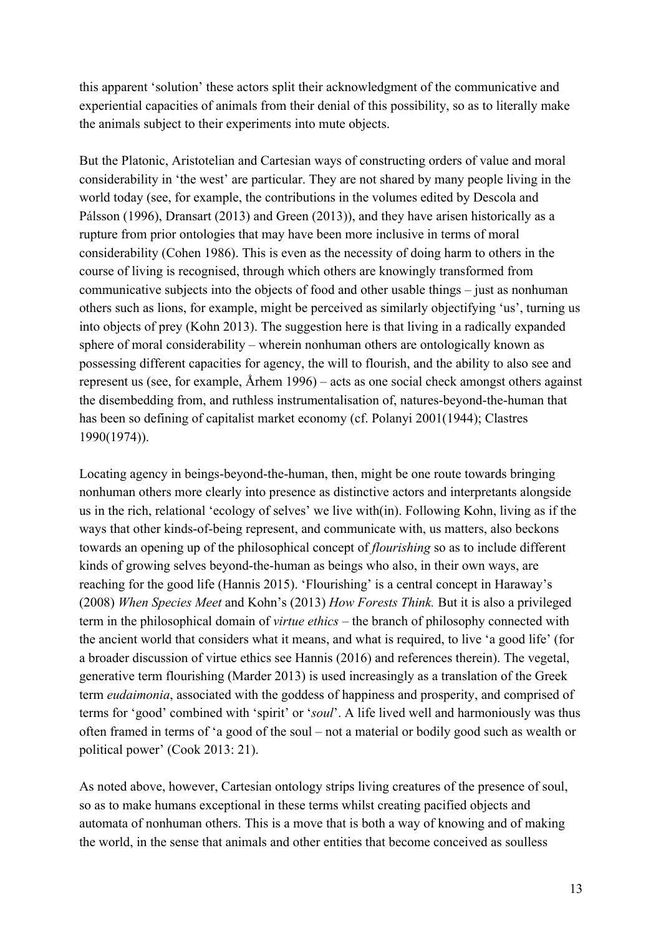this apparent 'solution' these actors split their acknowledgment of the communicative and experiential capacities of animals from their denial of this possibility, so as to literally make the animals subject to their experiments into mute objects.

But the Platonic, Aristotelian and Cartesian ways of constructing orders of value and moral considerability in 'the west' are particular. They are not shared by many people living in the world today (see, for example, the contributions in the volumes edited by Descola and Pálsson (1996), Dransart (2013) and Green (2013)), and they have arisen historically as a rupture from prior ontologies that may have been more inclusive in terms of moral considerability (Cohen 1986). This is even as the necessity of doing harm to others in the course of living is recognised, through which others are knowingly transformed from communicative subjects into the objects of food and other usable things – just as nonhuman others such as lions, for example, might be perceived as similarly objectifying 'us', turning us into objects of prey (Kohn 2013). The suggestion here is that living in a radically expanded sphere of moral considerability – wherein nonhuman others are ontologically known as possessing different capacities for agency, the will to flourish, and the ability to also see and represent us (see, for example, Århem 1996) – acts as one social check amongst others against the disembedding from, and ruthless instrumentalisation of, natures-beyond-the-human that has been so defining of capitalist market economy (cf. Polanyi 2001(1944); Clastres 1990(1974)).

Locating agency in beings-beyond-the-human, then, might be one route towards bringing nonhuman others more clearly into presence as distinctive actors and interpretants alongside us in the rich, relational 'ecology of selves' we live with(in). Following Kohn, living as if the ways that other kinds-of-being represent, and communicate with, us matters, also beckons towards an opening up of the philosophical concept of *flourishing* so as to include different kinds of growing selves beyond-the-human as beings who also, in their own ways, are reaching for the good life (Hannis 2015). 'Flourishing' is a central concept in Haraway's (2008) *When Species Meet* and Kohn's (2013) *How Forests Think.* But it is also a privileged term in the philosophical domain of *virtue ethics* – the branch of philosophy connected with the ancient world that considers what it means, and what is required, to live 'a good life' (for a broader discussion of virtue ethics see Hannis (2016) and references therein). The vegetal, generative term flourishing (Marder 2013) is used increasingly as a translation of the Greek term *eudaimonia*, associated with the goddess of happiness and prosperity, and comprised of terms for 'good' combined with 'spirit' or '*soul*'. A life lived well and harmoniously was thus often framed in terms of 'a good of the soul – not a material or bodily good such as wealth or political power' (Cook 2013: 21).

As noted above, however, Cartesian ontology strips living creatures of the presence of soul, so as to make humans exceptional in these terms whilst creating pacified objects and automata of nonhuman others. This is a move that is both a way of knowing and of making the world, in the sense that animals and other entities that become conceived as soulless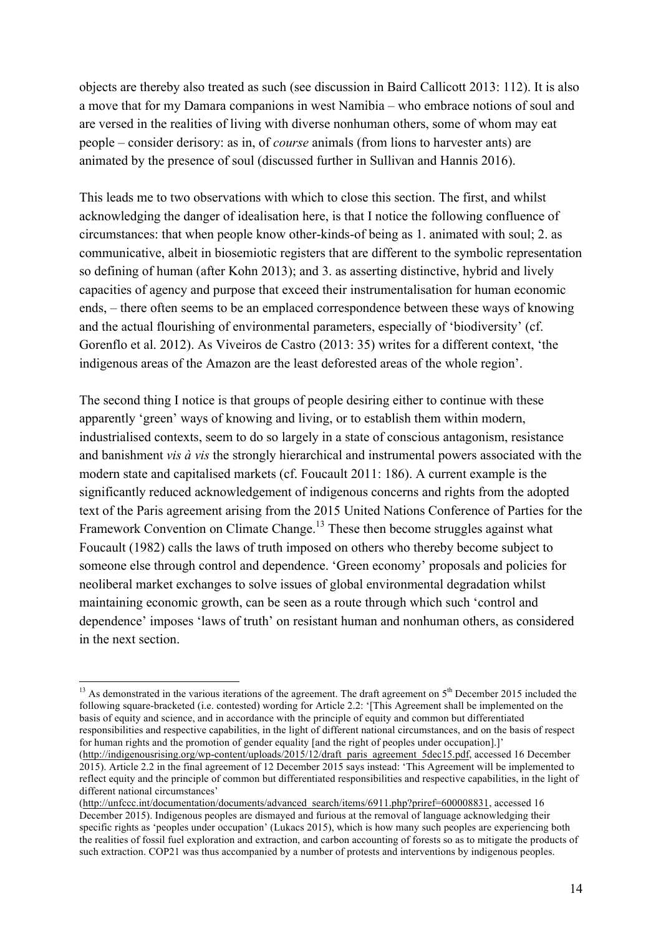objects are thereby also treated as such (see discussion in Baird Callicott 2013: 112). It is also a move that for my Damara companions in west Namibia – who embrace notions of soul and are versed in the realities of living with diverse nonhuman others, some of whom may eat people – consider derisory: as in, of *course* animals (from lions to harvester ants) are animated by the presence of soul (discussed further in Sullivan and Hannis 2016).

This leads me to two observations with which to close this section. The first, and whilst acknowledging the danger of idealisation here, is that I notice the following confluence of circumstances: that when people know other-kinds-of being as 1. animated with soul; 2. as communicative, albeit in biosemiotic registers that are different to the symbolic representation so defining of human (after Kohn 2013); and 3. as asserting distinctive, hybrid and lively capacities of agency and purpose that exceed their instrumentalisation for human economic ends, – there often seems to be an emplaced correspondence between these ways of knowing and the actual flourishing of environmental parameters, especially of 'biodiversity' (cf. Gorenflo et al. 2012). As Viveiros de Castro (2013: 35) writes for a different context, 'the indigenous areas of the Amazon are the least deforested areas of the whole region'.

The second thing I notice is that groups of people desiring either to continue with these apparently 'green' ways of knowing and living, or to establish them within modern, industrialised contexts, seem to do so largely in a state of conscious antagonism, resistance and banishment *vis à vis* the strongly hierarchical and instrumental powers associated with the modern state and capitalised markets (cf. Foucault 2011: 186). A current example is the significantly reduced acknowledgement of indigenous concerns and rights from the adopted text of the Paris agreement arising from the 2015 United Nations Conference of Parties for the Framework Convention on Climate Change.<sup>13</sup> These then become struggles against what Foucault (1982) calls the laws of truth imposed on others who thereby become subject to someone else through control and dependence. 'Green economy' proposals and policies for neoliberal market exchanges to solve issues of global environmental degradation whilst maintaining economic growth, can be seen as a route through which such 'control and dependence' imposes 'laws of truth' on resistant human and nonhuman others, as considered in the next section.

<sup>&</sup>lt;sup>13</sup> As demonstrated in the various iterations of the agreement. The draft agreement on  $5<sup>th</sup>$  December 2015 included the following square-bracketed (i.e. contested) wording for Article 2.2: '[This Agreement shall be implemented on the basis of equity and science, and in accordance with the principle of equity and common but differentiated responsibilities and respective capabilities, in the light of different national circumstances, and on the basis of respect for human rights and the promotion of gender equality [and the right of peoples under occupation].]' (http://indigenousrising.org/wp-content/uploads/2015/12/draft\_paris\_agreement\_5dec15.pdf, accessed 16 December 2015). Article 2.2 in the final agreement of 12 December 2015 says instead: 'This Agreement will be implemented to reflect equity and the principle of common but differentiated responsibilities and respective capabilities, in the light of different national circumstances'

<sup>(</sup>http://unfccc.int/documentation/documents/advanced\_search/items/6911.php?priref=600008831, accessed 16 December 2015). Indigenous peoples are dismayed and furious at the removal of language acknowledging their specific rights as 'peoples under occupation' (Lukacs 2015), which is how many such peoples are experiencing both the realities of fossil fuel exploration and extraction, and carbon accounting of forests so as to mitigate the products of such extraction. COP21 was thus accompanied by a number of protests and interventions by indigenous peoples.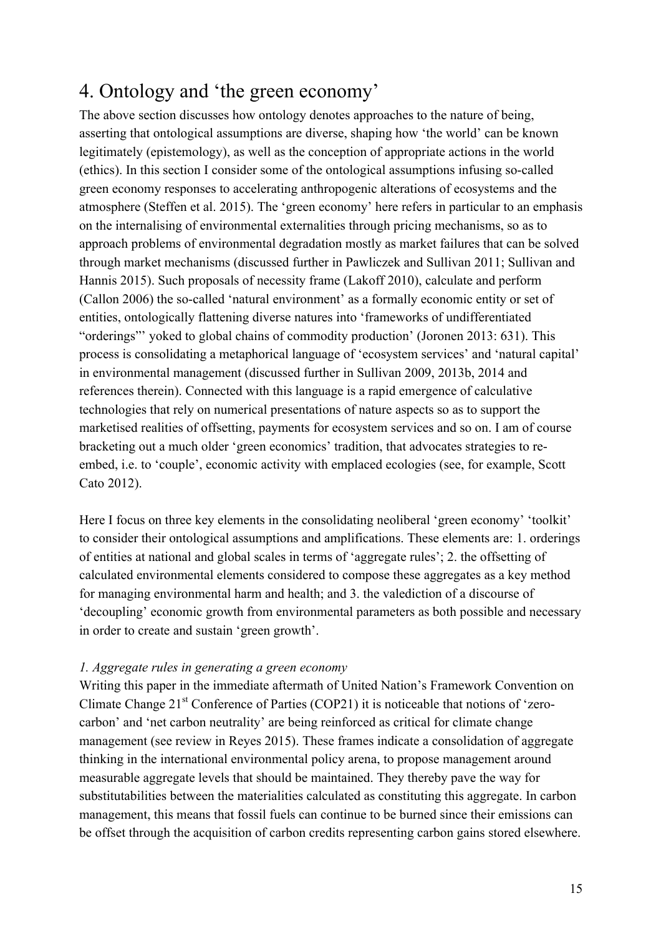# 4. Ontology and 'the green economy'

The above section discusses how ontology denotes approaches to the nature of being, asserting that ontological assumptions are diverse, shaping how 'the world' can be known legitimately (epistemology), as well as the conception of appropriate actions in the world (ethics). In this section I consider some of the ontological assumptions infusing so-called green economy responses to accelerating anthropogenic alterations of ecosystems and the atmosphere (Steffen et al. 2015). The 'green economy' here refers in particular to an emphasis on the internalising of environmental externalities through pricing mechanisms, so as to approach problems of environmental degradation mostly as market failures that can be solved through market mechanisms (discussed further in Pawliczek and Sullivan 2011; Sullivan and Hannis 2015). Such proposals of necessity frame (Lakoff 2010), calculate and perform (Callon 2006) the so-called 'natural environment' as a formally economic entity or set of entities, ontologically flattening diverse natures into 'frameworks of undifferentiated "orderings"' yoked to global chains of commodity production' (Joronen 2013: 631). This process is consolidating a metaphorical language of 'ecosystem services' and 'natural capital' in environmental management (discussed further in Sullivan 2009, 2013b, 2014 and references therein). Connected with this language is a rapid emergence of calculative technologies that rely on numerical presentations of nature aspects so as to support the marketised realities of offsetting, payments for ecosystem services and so on. I am of course bracketing out a much older 'green economics' tradition, that advocates strategies to reembed, i.e. to 'couple', economic activity with emplaced ecologies (see, for example, Scott Cato 2012).

Here I focus on three key elements in the consolidating neoliberal 'green economy' 'toolkit' to consider their ontological assumptions and amplifications. These elements are: 1. orderings of entities at national and global scales in terms of 'aggregate rules'; 2. the offsetting of calculated environmental elements considered to compose these aggregates as a key method for managing environmental harm and health; and 3. the valediction of a discourse of 'decoupling' economic growth from environmental parameters as both possible and necessary in order to create and sustain 'green growth'.

#### *1. Aggregate rules in generating a green economy*

Writing this paper in the immediate aftermath of United Nation's Framework Convention on Climate Change 21<sup>st</sup> Conference of Parties (COP21) it is noticeable that notions of 'zerocarbon' and 'net carbon neutrality' are being reinforced as critical for climate change management (see review in Reyes 2015). These frames indicate a consolidation of aggregate thinking in the international environmental policy arena, to propose management around measurable aggregate levels that should be maintained. They thereby pave the way for substitutabilities between the materialities calculated as constituting this aggregate. In carbon management, this means that fossil fuels can continue to be burned since their emissions can be offset through the acquisition of carbon credits representing carbon gains stored elsewhere.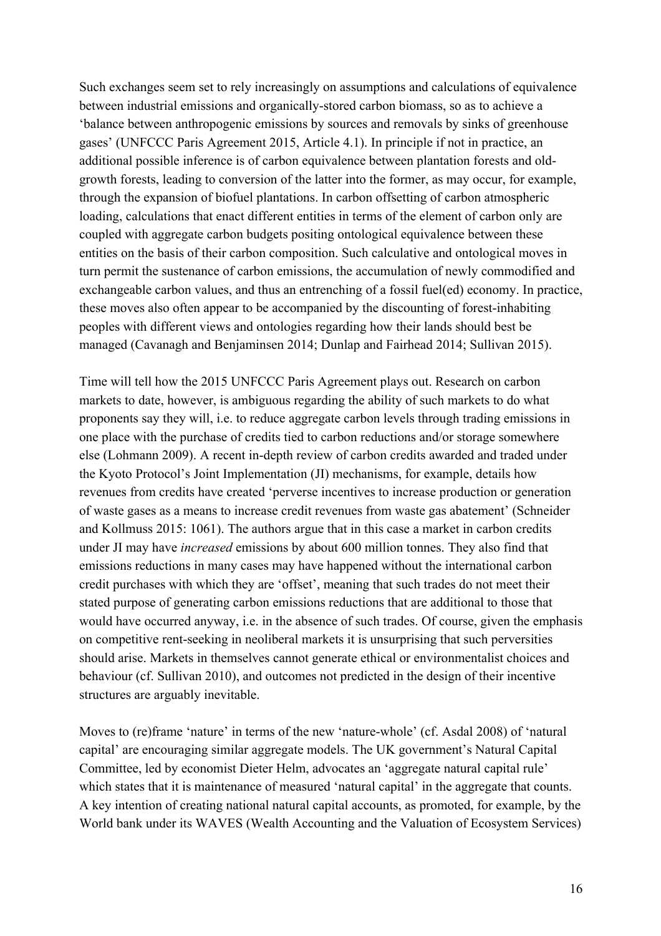Such exchanges seem set to rely increasingly on assumptions and calculations of equivalence between industrial emissions and organically-stored carbon biomass, so as to achieve a 'balance between anthropogenic emissions by sources and removals by sinks of greenhouse gases' (UNFCCC Paris Agreement 2015, Article 4.1). In principle if not in practice, an additional possible inference is of carbon equivalence between plantation forests and oldgrowth forests, leading to conversion of the latter into the former, as may occur, for example, through the expansion of biofuel plantations. In carbon offsetting of carbon atmospheric loading, calculations that enact different entities in terms of the element of carbon only are coupled with aggregate carbon budgets positing ontological equivalence between these entities on the basis of their carbon composition. Such calculative and ontological moves in turn permit the sustenance of carbon emissions, the accumulation of newly commodified and exchangeable carbon values, and thus an entrenching of a fossil fuel(ed) economy. In practice, these moves also often appear to be accompanied by the discounting of forest-inhabiting peoples with different views and ontologies regarding how their lands should best be managed (Cavanagh and Benjaminsen 2014; Dunlap and Fairhead 2014; Sullivan 2015).

Time will tell how the 2015 UNFCCC Paris Agreement plays out. Research on carbon markets to date, however, is ambiguous regarding the ability of such markets to do what proponents say they will, i.e. to reduce aggregate carbon levels through trading emissions in one place with the purchase of credits tied to carbon reductions and/or storage somewhere else (Lohmann 2009). A recent in-depth review of carbon credits awarded and traded under the Kyoto Protocol's Joint Implementation (JI) mechanisms, for example, details how revenues from credits have created 'perverse incentives to increase production or generation of waste gases as a means to increase credit revenues from waste gas abatement' (Schneider and Kollmuss 2015: 1061). The authors argue that in this case a market in carbon credits under JI may have *increased* emissions by about 600 million tonnes. They also find that emissions reductions in many cases may have happened without the international carbon credit purchases with which they are 'offset', meaning that such trades do not meet their stated purpose of generating carbon emissions reductions that are additional to those that would have occurred anyway, i.e. in the absence of such trades. Of course, given the emphasis on competitive rent-seeking in neoliberal markets it is unsurprising that such perversities should arise. Markets in themselves cannot generate ethical or environmentalist choices and behaviour (cf. Sullivan 2010), and outcomes not predicted in the design of their incentive structures are arguably inevitable.

Moves to (re)frame 'nature' in terms of the new 'nature-whole' (cf. Asdal 2008) of 'natural capital' are encouraging similar aggregate models. The UK government's Natural Capital Committee, led by economist Dieter Helm, advocates an 'aggregate natural capital rule' which states that it is maintenance of measured 'natural capital' in the aggregate that counts. A key intention of creating national natural capital accounts, as promoted, for example, by the World bank under its WAVES (Wealth Accounting and the Valuation of Ecosystem Services)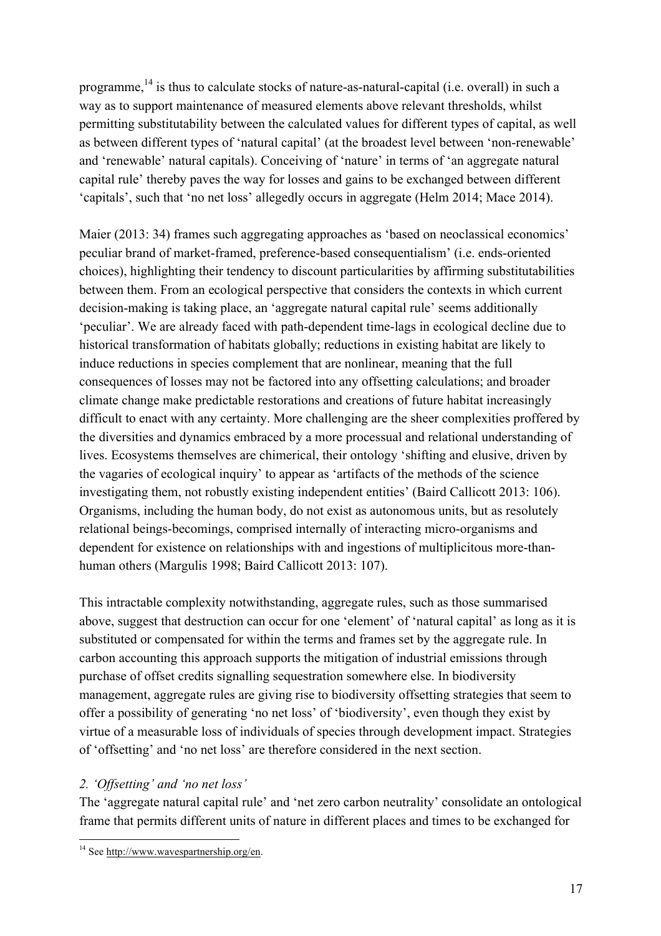programme,  $14$  is thus to calculate stocks of nature-as-natural-capital (i.e. overall) in such a way as to support maintenance of measured elements above relevant thresholds, whilst permitting substitutability between the calculated values for different types of capital, as well as between different types of 'natural capital' (at the broadest level between 'non-renewable' and 'renewable' natural capitals). Conceiving of 'nature' in terms of 'an aggregate natural capital rule' thereby paves the way for losses and gains to be exchanged between different 'capitals', such that 'no net loss' allegedly occurs in aggregate (Helm 2014; Mace 2014).

Maier (2013: 34) frames such aggregating approaches as 'based on neoclassical economics' peculiar brand of market-framed, preference-based consequentialism' (i.e. ends-oriented choices), highlighting their tendency to discount particularities by affirming substitutabilities between them. From an ecological perspective that considers the contexts in which current decision-making is taking place, an 'aggregate natural capital rule' seems additionally 'peculiar'. We are already faced with path-dependent time-lags in ecological decline due to historical transformation of habitats globally; reductions in existing habitat are likely to induce reductions in species complement that are nonlinear, meaning that the full consequences of losses may not be factored into any offsetting calculations; and broader climate change make predictable restorations and creations of future habitat increasingly difficult to enact with any certainty. More challenging are the sheer complexities proffered by the diversities and dynamics embraced by a more processual and relational understanding of lives. Ecosystems themselves are chimerical, their ontology 'shifting and elusive, driven by the vagaries of ecological inquiry' to appear as 'artifacts of the methods of the science investigating them, not robustly existing independent entities' (Baird Callicott 2013: 106). Organisms, including the human body, do not exist as autonomous units, but as resolutely relational beings-becomings, comprised internally of interacting micro-organisms and dependent for existence on relationships with and ingestions of multiplicitous more-thanhuman others (Margulis 1998; Baird Callicott 2013: 107).

This intractable complexity notwithstanding, aggregate rules, such as those summarised above, suggest that destruction can occur for one 'element' of 'natural capital' as long as it is substituted or compensated for within the terms and frames set by the aggregate rule. In carbon accounting this approach supports the mitigation of industrial emissions through purchase of offset credits signalling sequestration somewhere else. In biodiversity management, aggregate rules are giving rise to biodiversity offsetting strategies that seem to offer a possibility of generating 'no net loss' of 'biodiversity', even though they exist by virtue of a measurable loss of individuals of species through development impact. Strategies of 'offsetting' and 'no net loss' are therefore considered in the next section.

### *2. 'Offsetting' and 'no net loss'*

The 'aggregate natural capital rule' and 'net zero carbon neutrality' consolidate an ontological frame that permits different units of nature in different places and times to be exchanged for

<sup>&</sup>lt;sup>14</sup> See http://www.wavespartnership.org/en.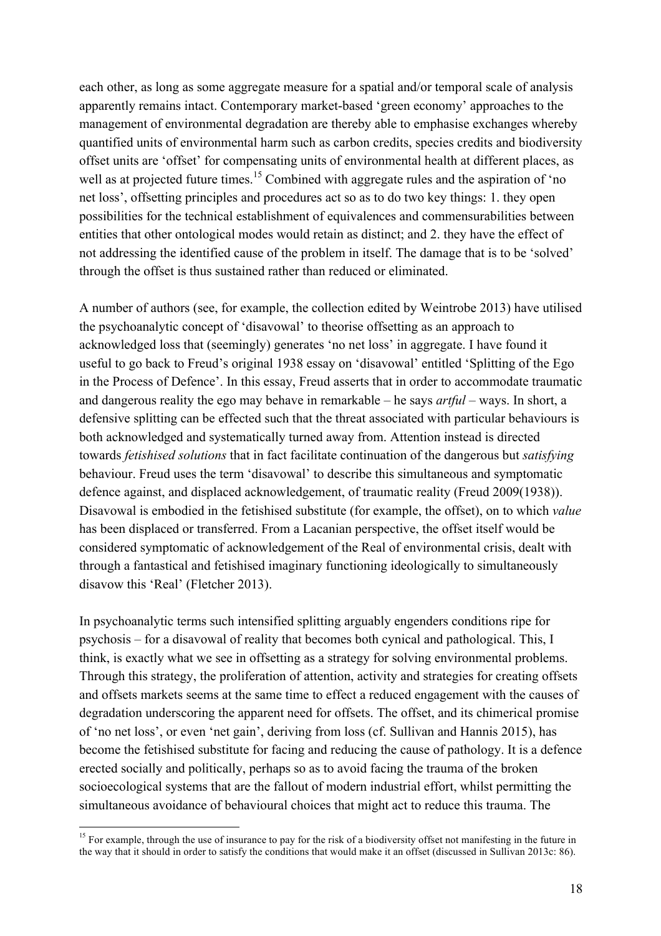each other, as long as some aggregate measure for a spatial and/or temporal scale of analysis apparently remains intact. Contemporary market-based 'green economy' approaches to the management of environmental degradation are thereby able to emphasise exchanges whereby quantified units of environmental harm such as carbon credits, species credits and biodiversity offset units are 'offset' for compensating units of environmental health at different places, as well as at projected future times.<sup>15</sup> Combined with aggregate rules and the aspiration of 'no net loss', offsetting principles and procedures act so as to do two key things: 1. they open possibilities for the technical establishment of equivalences and commensurabilities between entities that other ontological modes would retain as distinct; and 2. they have the effect of not addressing the identified cause of the problem in itself. The damage that is to be 'solved' through the offset is thus sustained rather than reduced or eliminated.

A number of authors (see, for example, the collection edited by Weintrobe 2013) have utilised the psychoanalytic concept of 'disavowal' to theorise offsetting as an approach to acknowledged loss that (seemingly) generates 'no net loss' in aggregate. I have found it useful to go back to Freud's original 1938 essay on 'disavowal' entitled 'Splitting of the Ego in the Process of Defence'. In this essay, Freud asserts that in order to accommodate traumatic and dangerous reality the ego may behave in remarkable – he says *artful* – ways. In short, a defensive splitting can be effected such that the threat associated with particular behaviours is both acknowledged and systematically turned away from. Attention instead is directed towards *fetishised solutions* that in fact facilitate continuation of the dangerous but *satisfying* behaviour. Freud uses the term 'disavowal' to describe this simultaneous and symptomatic defence against, and displaced acknowledgement, of traumatic reality (Freud 2009(1938)). Disavowal is embodied in the fetishised substitute (for example, the offset), on to which *value* has been displaced or transferred. From a Lacanian perspective, the offset itself would be considered symptomatic of acknowledgement of the Real of environmental crisis, dealt with through a fantastical and fetishised imaginary functioning ideologically to simultaneously disavow this 'Real' (Fletcher 2013).

In psychoanalytic terms such intensified splitting arguably engenders conditions ripe for psychosis – for a disavowal of reality that becomes both cynical and pathological. This, I think, is exactly what we see in offsetting as a strategy for solving environmental problems. Through this strategy, the proliferation of attention, activity and strategies for creating offsets and offsets markets seems at the same time to effect a reduced engagement with the causes of degradation underscoring the apparent need for offsets. The offset, and its chimerical promise of 'no net loss', or even 'net gain', deriving from loss (cf. Sullivan and Hannis 2015), has become the fetishised substitute for facing and reducing the cause of pathology. It is a defence erected socially and politically, perhaps so as to avoid facing the trauma of the broken socioecological systems that are the fallout of modern industrial effort, whilst permitting the simultaneous avoidance of behavioural choices that might act to reduce this trauma. The

<sup>&</sup>lt;sup>15</sup> For example, through the use of insurance to pay for the risk of a biodiversity offset not manifesting in the future in the way that it should in order to satisfy the conditions that would make it an offset (discussed in Sullivan 2013c: 86).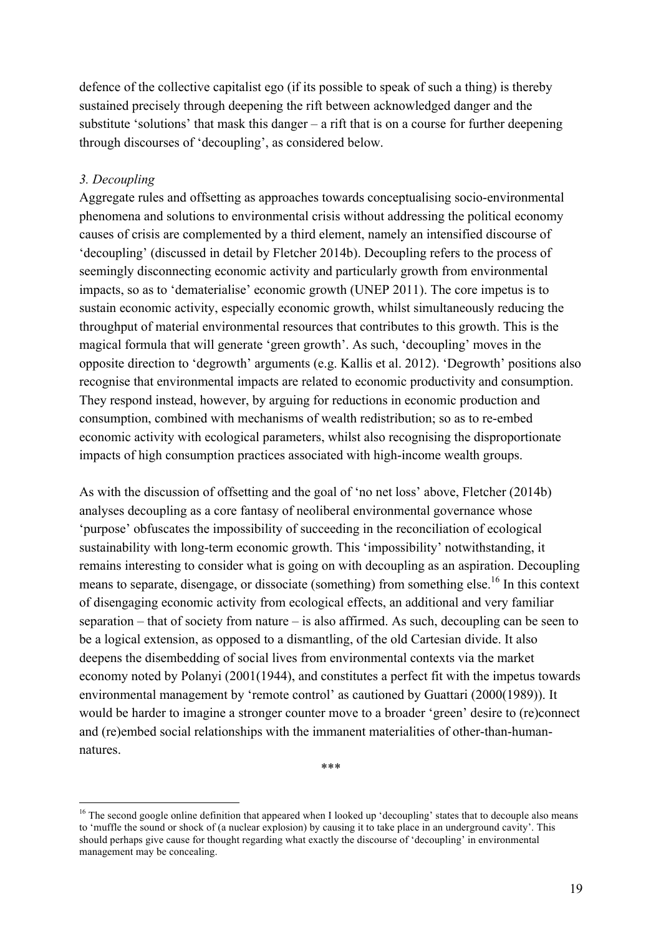defence of the collective capitalist ego (if its possible to speak of such a thing) is thereby sustained precisely through deepening the rift between acknowledged danger and the substitute 'solutions' that mask this danger – a rift that is on a course for further deepening through discourses of 'decoupling', as considered below.

### *3. Decoupling*

Aggregate rules and offsetting as approaches towards conceptualising socio-environmental phenomena and solutions to environmental crisis without addressing the political economy causes of crisis are complemented by a third element, namely an intensified discourse of 'decoupling' (discussed in detail by Fletcher 2014b). Decoupling refers to the process of seemingly disconnecting economic activity and particularly growth from environmental impacts, so as to 'dematerialise' economic growth (UNEP 2011). The core impetus is to sustain economic activity, especially economic growth, whilst simultaneously reducing the throughput of material environmental resources that contributes to this growth. This is the magical formula that will generate 'green growth'. As such, 'decoupling' moves in the opposite direction to 'degrowth' arguments (e.g. Kallis et al. 2012). 'Degrowth' positions also recognise that environmental impacts are related to economic productivity and consumption. They respond instead, however, by arguing for reductions in economic production and consumption, combined with mechanisms of wealth redistribution; so as to re-embed economic activity with ecological parameters, whilst also recognising the disproportionate impacts of high consumption practices associated with high-income wealth groups.

As with the discussion of offsetting and the goal of 'no net loss' above, Fletcher (2014b) analyses decoupling as a core fantasy of neoliberal environmental governance whose 'purpose' obfuscates the impossibility of succeeding in the reconciliation of ecological sustainability with long-term economic growth. This 'impossibility' notwithstanding, it remains interesting to consider what is going on with decoupling as an aspiration. Decoupling means to separate, disengage, or dissociate (something) from something else.<sup>16</sup> In this context of disengaging economic activity from ecological effects, an additional and very familiar separation – that of society from nature – is also affirmed. As such, decoupling can be seen to be a logical extension, as opposed to a dismantling, of the old Cartesian divide. It also deepens the disembedding of social lives from environmental contexts via the market economy noted by Polanyi (2001(1944), and constitutes a perfect fit with the impetus towards environmental management by 'remote control' as cautioned by Guattari (2000(1989)). It would be harder to imagine a stronger counter move to a broader 'green' desire to (re)connect and (re)embed social relationships with the immanent materialities of other-than-humannatures.

\*\*\*

<sup>&</sup>lt;sup>16</sup> The second google online definition that appeared when I looked up 'decoupling' states that to decouple also means to 'muffle the sound or shock of (a nuclear explosion) by causing it to take place in an underground cavity'. This should perhaps give cause for thought regarding what exactly the discourse of 'decoupling' in environmental management may be concealing.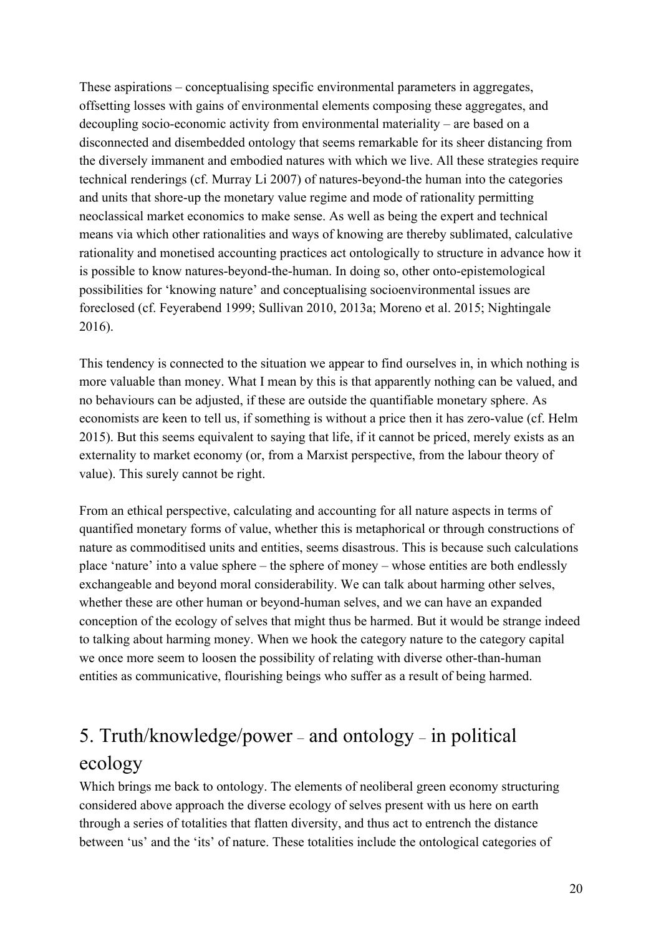These aspirations – conceptualising specific environmental parameters in aggregates, offsetting losses with gains of environmental elements composing these aggregates, and decoupling socio-economic activity from environmental materiality – are based on a disconnected and disembedded ontology that seems remarkable for its sheer distancing from the diversely immanent and embodied natures with which we live. All these strategies require technical renderings (cf. Murray Li 2007) of natures-beyond-the human into the categories and units that shore-up the monetary value regime and mode of rationality permitting neoclassical market economics to make sense. As well as being the expert and technical means via which other rationalities and ways of knowing are thereby sublimated, calculative rationality and monetised accounting practices act ontologically to structure in advance how it is possible to know natures-beyond-the-human. In doing so, other onto-epistemological possibilities for 'knowing nature' and conceptualising socioenvironmental issues are foreclosed (cf. Feyerabend 1999; Sullivan 2010, 2013a; Moreno et al. 2015; Nightingale 2016).

This tendency is connected to the situation we appear to find ourselves in, in which nothing is more valuable than money. What I mean by this is that apparently nothing can be valued, and no behaviours can be adjusted, if these are outside the quantifiable monetary sphere. As economists are keen to tell us, if something is without a price then it has zero-value (cf. Helm 2015). But this seems equivalent to saying that life, if it cannot be priced, merely exists as an externality to market economy (or, from a Marxist perspective, from the labour theory of value). This surely cannot be right.

From an ethical perspective, calculating and accounting for all nature aspects in terms of quantified monetary forms of value, whether this is metaphorical or through constructions of nature as commoditised units and entities, seems disastrous. This is because such calculations place 'nature' into a value sphere – the sphere of money – whose entities are both endlessly exchangeable and beyond moral considerability. We can talk about harming other selves, whether these are other human or beyond-human selves, and we can have an expanded conception of the ecology of selves that might thus be harmed. But it would be strange indeed to talking about harming money. When we hook the category nature to the category capital we once more seem to loosen the possibility of relating with diverse other-than-human entities as communicative, flourishing beings who suffer as a result of being harmed.

# 5. Truth/knowledge/power – and ontology – in political ecology

Which brings me back to ontology. The elements of neoliberal green economy structuring considered above approach the diverse ecology of selves present with us here on earth through a series of totalities that flatten diversity, and thus act to entrench the distance between 'us' and the 'its' of nature. These totalities include the ontological categories of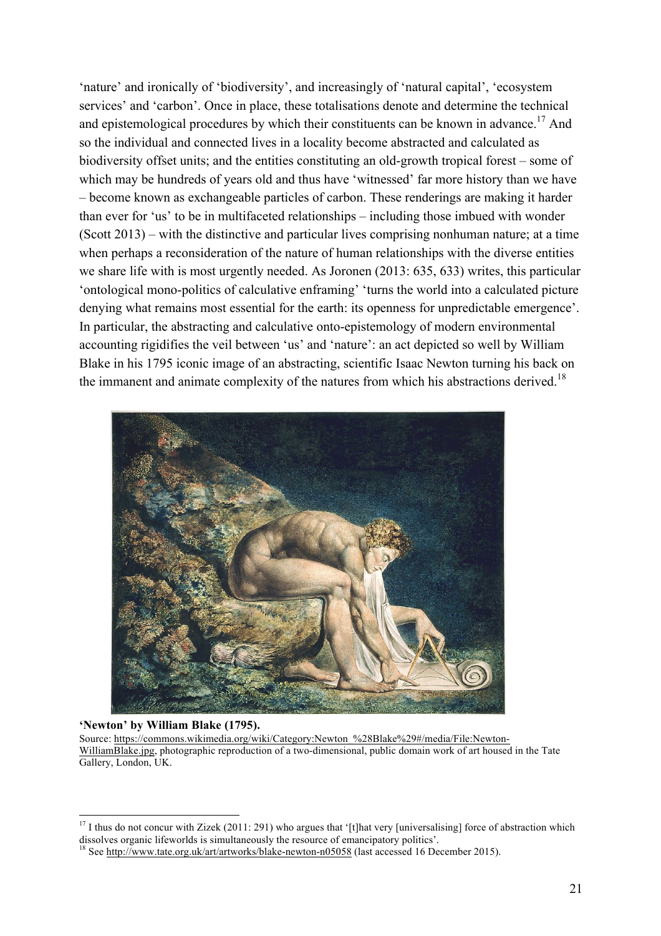'nature' and ironically of 'biodiversity', and increasingly of 'natural capital', 'ecosystem services' and 'carbon'. Once in place, these totalisations denote and determine the technical and epistemological procedures by which their constituents can be known in advance.<sup>17</sup> And so the individual and connected lives in a locality become abstracted and calculated as biodiversity offset units; and the entities constituting an old-growth tropical forest – some of which may be hundreds of years old and thus have 'witnessed' far more history than we have – become known as exchangeable particles of carbon. These renderings are making it harder than ever for 'us' to be in multifaceted relationships – including those imbued with wonder (Scott 2013) – with the distinctive and particular lives comprising nonhuman nature; at a time when perhaps a reconsideration of the nature of human relationships with the diverse entities we share life with is most urgently needed. As Joronen (2013: 635, 633) writes, this particular 'ontological mono-politics of calculative enframing' 'turns the world into a calculated picture denying what remains most essential for the earth: its openness for unpredictable emergence'. In particular, the abstracting and calculative onto-epistemology of modern environmental accounting rigidifies the veil between 'us' and 'nature': an act depicted so well by William Blake in his 1795 iconic image of an abstracting, scientific Isaac Newton turning his back on the immanent and animate complexity of the natures from which his abstractions derived.<sup>18</sup>



#### **'Newton' by William Blake (1795).**

Source: https://commons.wikimedia.org/wiki/Category:Newton\_%28Blake%29#/media/File:Newton-WilliamBlake.jpg, photographic reproduction of a two-dimensional, public domain work of art housed in the Tate Gallery, London, UK.

<sup>&</sup>lt;sup>17</sup> I thus do not concur with Zizek (2011: 291) who argues that '[t]hat very [universalising] force of abstraction which dissolves organic lifeworlds is simultaneously the resource of emancipatory politics'.<br><sup>18</sup> See http://www.tate.org.uk/art/artworks/blake-newton-n05058 (last accessed 16 December 2015).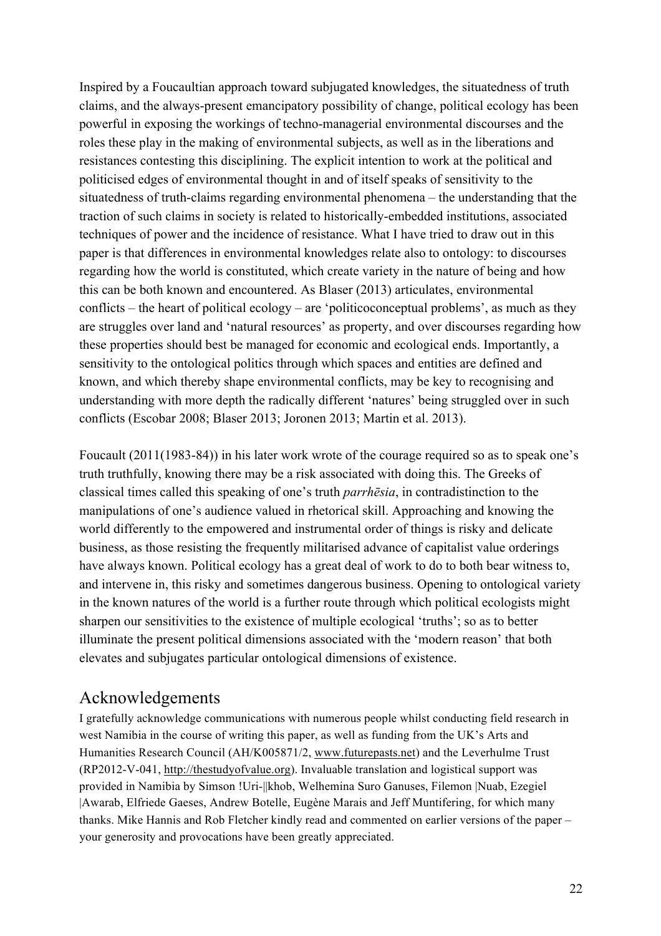Inspired by a Foucaultian approach toward subjugated knowledges, the situatedness of truth claims, and the always-present emancipatory possibility of change, political ecology has been powerful in exposing the workings of techno-managerial environmental discourses and the roles these play in the making of environmental subjects, as well as in the liberations and resistances contesting this disciplining. The explicit intention to work at the political and politicised edges of environmental thought in and of itself speaks of sensitivity to the situatedness of truth-claims regarding environmental phenomena – the understanding that the traction of such claims in society is related to historically-embedded institutions, associated techniques of power and the incidence of resistance. What I have tried to draw out in this paper is that differences in environmental knowledges relate also to ontology: to discourses regarding how the world is constituted, which create variety in the nature of being and how this can be both known and encountered. As Blaser (2013) articulates, environmental conflicts – the heart of political ecology – are 'politicoconceptual problems', as much as they are struggles over land and 'natural resources' as property, and over discourses regarding how these properties should best be managed for economic and ecological ends. Importantly, a sensitivity to the ontological politics through which spaces and entities are defined and known, and which thereby shape environmental conflicts, may be key to recognising and understanding with more depth the radically different 'natures' being struggled over in such conflicts (Escobar 2008; Blaser 2013; Joronen 2013; Martin et al. 2013).

Foucault (2011(1983-84)) in his later work wrote of the courage required so as to speak one's truth truthfully, knowing there may be a risk associated with doing this. The Greeks of classical times called this speaking of one's truth *parrhēsia*, in contradistinction to the manipulations of one's audience valued in rhetorical skill. Approaching and knowing the world differently to the empowered and instrumental order of things is risky and delicate business, as those resisting the frequently militarised advance of capitalist value orderings have always known. Political ecology has a great deal of work to do to both bear witness to, and intervene in, this risky and sometimes dangerous business. Opening to ontological variety in the known natures of the world is a further route through which political ecologists might sharpen our sensitivities to the existence of multiple ecological 'truths'; so as to better illuminate the present political dimensions associated with the 'modern reason' that both elevates and subjugates particular ontological dimensions of existence.

### Acknowledgements

I gratefully acknowledge communications with numerous people whilst conducting field research in west Namibia in the course of writing this paper, as well as funding from the UK's Arts and Humanities Research Council (AH/K005871/2, www.futurepasts.net) and the Leverhulme Trust (RP2012-V-041, http://thestudyofvalue.org). Invaluable translation and logistical support was provided in Namibia by Simson !Uri-||khob, Welhemina Suro Ganuses, Filemon |Nuab, Ezegiel |Awarab, Elfriede Gaeses, Andrew Botelle, Eugène Marais and Jeff Muntifering, for which many thanks. Mike Hannis and Rob Fletcher kindly read and commented on earlier versions of the paper – your generosity and provocations have been greatly appreciated.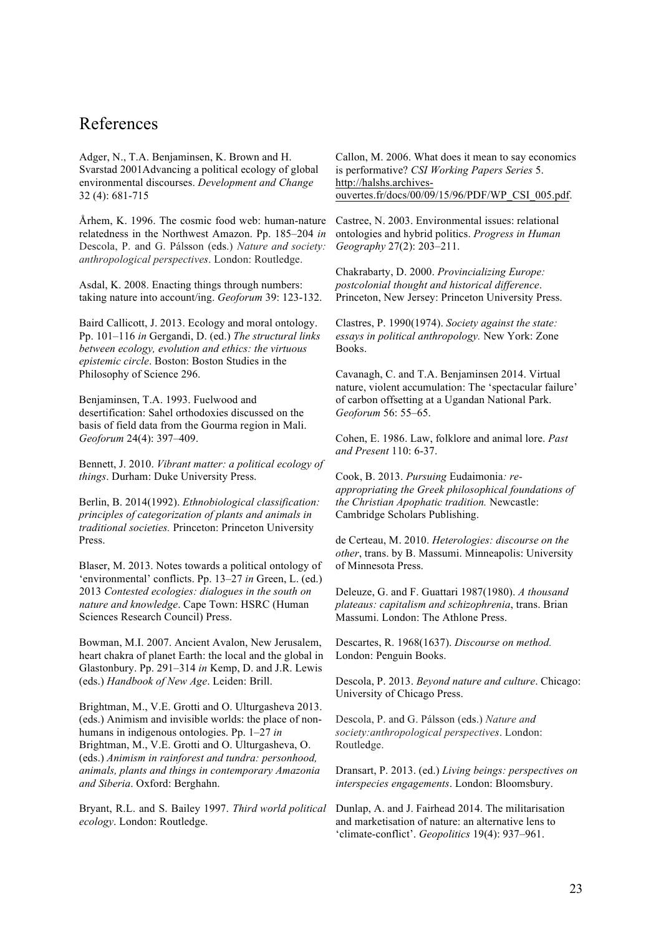### References

Adger, N., T.A. Benjaminsen, K. Brown and H. Svarstad 2001Advancing a political ecology of global environmental discourses. *Development and Change* 32 (4): 681-715

Århem, K. 1996. The cosmic food web: human-nature relatedness in the Northwest Amazon. Pp. 185–204 *in* Descola, P. and G. Pálsson (eds.) *Nature and society: anthropological perspectives*. London: Routledge.

Asdal, K. 2008. Enacting things through numbers: taking nature into account/ing. *Geoforum* 39: 123-132.

Baird Callicott, J. 2013. Ecology and moral ontology. Pp. 101–116 *in* Gergandi, D. (ed.) *The structural links between ecology, evolution and ethics: the virtuous epistemic circle*. Boston: Boston Studies in the Philosophy of Science 296.

Benjaminsen, T.A. 1993. Fuelwood and desertification: Sahel orthodoxies discussed on the basis of field data from the Gourma region in Mali. *Geoforum* 24(4): 397–409.

Bennett, J. 2010. *Vibrant matter: a political ecology of things*. Durham: Duke University Press.

Berlin, B. 2014(1992). *Ethnobiological classification: principles of categorization of plants and animals in traditional societies.* Princeton: Princeton University Press.

Blaser, M. 2013. Notes towards a political ontology of 'environmental' conflicts. Pp. 13–27 *in* Green, L. (ed.) 2013 *Contested ecologies: dialogues in the south on nature and knowledge*. Cape Town: HSRC (Human Sciences Research Council) Press.

Bowman, M.I. 2007. Ancient Avalon, New Jerusalem, heart chakra of planet Earth: the local and the global in Glastonbury. Pp. 291–314 *in* Kemp, D. and J.R. Lewis (eds.) *Handbook of New Age*. Leiden: Brill.

Brightman, M., V.E. Grotti and O. Ulturgasheva 2013. (eds.) Animism and invisible worlds: the place of nonhumans in indigenous ontologies. Pp. 1–27 *in* Brightman, M., V.E. Grotti and O. Ulturgasheva, O. (eds.) *Animism in rainforest and tundra: personhood, animals, plants and things in contemporary Amazonia and Siberia*. Oxford: Berghahn.

Bryant, R.L. and S. Bailey 1997. *Third world political ecology*. London: Routledge.

Callon, M. 2006. What does it mean to say economics is performative? *CSI Working Papers Series* 5. http://halshs.archivesouvertes.fr/docs/00/09/15/96/PDF/WP\_CSI\_005.pdf.

Castree, N. 2003. Environmental issues: relational ontologies and hybrid politics. *Progress in Human Geography* 27(2): 203–211.

Chakrabarty, D. 2000. *Provincializing Europe: postcolonial thought and historical difference*. Princeton, New Jersey: Princeton University Press.

Clastres, P. 1990(1974). *Society against the state: essays in political anthropology.* New York: Zone Books.

Cavanagh, C. and T.A. Benjaminsen 2014. Virtual nature, violent accumulation: The 'spectacular failure' of carbon offsetting at a Ugandan National Park. *Geoforum* 56: 55–65.

Cohen, E. 1986. Law, folklore and animal lore. *Past and Present* 110: 6-37.

Cook, B. 2013. *Pursuing* Eudaimonia*: reappropriating the Greek philosophical foundations of the Christian Apophatic tradition.* Newcastle: Cambridge Scholars Publishing.

de Certeau, M. 2010. *Heterologies: discourse on the other*, trans. by B. Massumi. Minneapolis: University of Minnesota Press.

Deleuze, G. and F. Guattari 1987(1980). *A thousand plateaus: capitalism and schizophrenia*, trans. Brian Massumi. London: The Athlone Press.

Descartes, R. 1968(1637). *Discourse on method.* London: Penguin Books.

Descola, P. 2013. *Beyond nature and culture*. Chicago: University of Chicago Press.

Descola, P. and G. Pálsson (eds.) *Nature and society:anthropological perspectives*. London: Routledge.

Dransart, P. 2013. (ed.) *Living beings: perspectives on interspecies engagements*. London: Bloomsbury.

Dunlap, A. and J. Fairhead 2014. The militarisation and marketisation of nature: an alternative lens to 'climate-conflict'. *Geopolitics* 19(4): 937–961.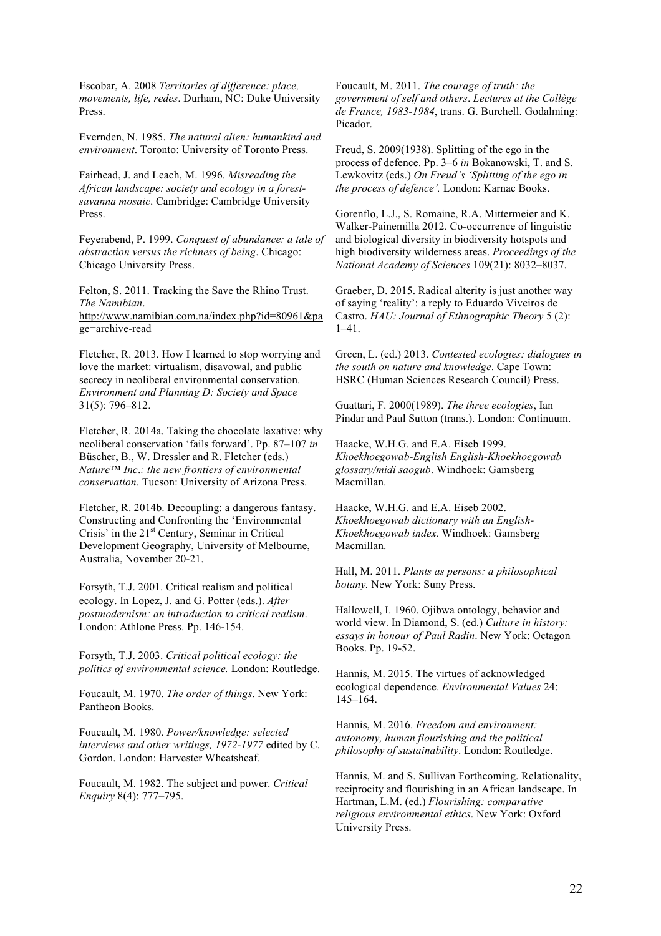Escobar, A. 2008 *Territories of difference: place, movements, life, redes*. Durham, NC: Duke University Press.

Evernden, N. 1985. *The natural alien: humankind and environment*. Toronto: University of Toronto Press.

Fairhead, J. and Leach, M. 1996. *Misreading the African landscape: society and ecology in a forestsavanna mosaic*. Cambridge: Cambridge University Press.

Feyerabend, P. 1999. *Conquest of abundance: a tale of abstraction versus the richness of being*. Chicago: Chicago University Press.

Felton, S. 2011. Tracking the Save the Rhino Trust. *The Namibian*. http://www.namibian.com.na/index.php?id=80961&pa ge=archive-read

Fletcher, R. 2013. How I learned to stop worrying and love the market: virtualism, disavowal, and public secrecy in neoliberal environmental conservation. *Environment and Planning D: Society and Space* 31(5): 796–812.

Fletcher, R. 2014a. Taking the chocolate laxative: why neoliberal conservation 'fails forward'. Pp. 87–107 *in* Büscher, B., W. Dressler and R. Fletcher (eds.) *Nature*™ *Inc*.*: the new frontiers of environmental conservation*. Tucson: University of Arizona Press.

Fletcher, R. 2014b. Decoupling: a dangerous fantasy. Constructing and Confronting the 'Environmental Crisis' in the  $21<sup>st</sup>$  Century, Seminar in Critical Development Geography, University of Melbourne, Australia, November 20-21.

Forsyth, T.J. 2001. Critical realism and political ecology. In Lopez, J. and G. Potter (eds.). *After postmodernism: an introduction to critical realism*. London: Athlone Press. Pp. 146-154.

Forsyth, T.J. 2003. *Critical political ecology: the politics of environmental science.* London: Routledge.

Foucault, M. 1970. *The order of things*. New York: Pantheon Books.

Foucault, M. 1980. *Power/knowledge: selected interviews and other writings, 1972-1977* edited by C. Gordon. London: Harvester Wheatsheaf.

Foucault, M. 1982. The subject and power. *Critical Enquiry* 8(4): 777–795.

Foucault, M. 2011. *The courage of truth: the government of self and others*. *Lectures at the Collège de France, 1983-1984*, trans. G. Burchell. Godalming: Picador.

Freud, S. 2009(1938). Splitting of the ego in the process of defence. Pp. 3–6 *in* Bokanowski, T. and S. Lewkovitz (eds.) *On Freud's 'Splitting of the ego in the process of defence'.* London: Karnac Books.

Gorenflo, L.J., S. Romaine, R.A. Mittermeier and K. Walker-Painemilla 2012. Co-occurrence of linguistic and biological diversity in biodiversity hotspots and high biodiversity wilderness areas. *Proceedings of the National Academy of Sciences* 109(21): 8032–8037.

Graeber, D. 2015. Radical alterity is just another way of saying 'reality': a reply to Eduardo Viveiros de Castro. *HAU: Journal of Ethnographic Theory* 5 (2): 1–41.

Green, L. (ed.) 2013. *Contested ecologies: dialogues in the south on nature and knowledge*. Cape Town: HSRC (Human Sciences Research Council) Press.

Guattari, F. 2000(1989). *The three ecologies*, Ian Pindar and Paul Sutton (trans.). London: Continuum.

Haacke, W.H.G. and E.A. Eiseb 1999. *Khoekhoegowab-English English-Khoekhoegowab glossary/midi saogub*. Windhoek: Gamsberg Macmillan.

Haacke, W.H.G. and E.A. Eiseb 2002. *Khoekhoegowab dictionary with an English-Khoekhoegowab index*. Windhoek: Gamsberg Macmillan.

Hall, M. 2011. *Plants as persons: a philosophical botany.* New York: Suny Press.

Hallowell, I. 1960. Ojibwa ontology, behavior and world view. In Diamond, S. (ed.) *Culture in history: essays in honour of Paul Radin*. New York: Octagon Books. Pp. 19-52.

Hannis, M. 2015. The virtues of acknowledged ecological dependence. *Environmental Values* 24:  $145 - 164.$ 

Hannis, M. 2016. *Freedom and environment: autonomy, human flourishing and the political philosophy of sustainability*. London: Routledge.

Hannis, M. and S. Sullivan Forthcoming. Relationality, reciprocity and flourishing in an African landscape. In Hartman, L.M. (ed.) *Flourishing: comparative religious environmental ethics*. New York: Oxford University Press.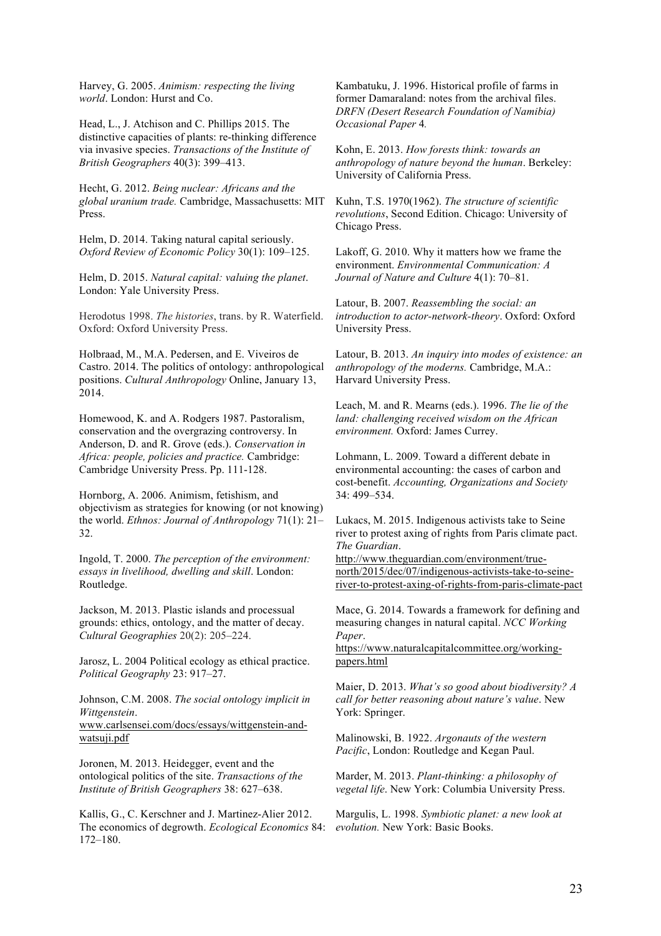Harvey, G. 2005. *Animism: respecting the living world*. London: Hurst and Co.

Head, L., J. Atchison and C. Phillips 2015. The distinctive capacities of plants: re-thinking difference via invasive species. *Transactions of the Institute of British Geographers* 40(3): 399–413.

Hecht, G. 2012. *Being nuclear: Africans and the global uranium trade.* Cambridge, Massachusetts: MIT Press.

Helm, D. 2014. Taking natural capital seriously. *Oxford Review of Economic Policy* 30(1): 109–125.

Helm, D. 2015. *Natural capital: valuing the planet*. London: Yale University Press.

Herodotus 1998. *The histories*, trans. by R. Waterfield. Oxford: Oxford University Press.

Holbraad, M., M.A. Pedersen, and E. Viveiros de Castro. 2014. The politics of ontology: anthropological positions. *Cultural Anthropology* Online, January 13, 2014.

Homewood, K. and A. Rodgers 1987. Pastoralism, conservation and the overgrazing controversy. In Anderson, D. and R. Grove (eds.). *Conservation in Africa: people, policies and practice.* Cambridge: Cambridge University Press. Pp. 111-128.

Hornborg, A. 2006. Animism, fetishism, and objectivism as strategies for knowing (or not knowing) the world. *Ethnos: Journal of Anthropology* 71(1): 21– 32.

Ingold, T. 2000. *The perception of the environment: essays in livelihood, dwelling and skill*. London: Routledge.

Jackson, M. 2013. Plastic islands and processual grounds: ethics, ontology, and the matter of decay. *Cultural Geographies* 20(2): 205–224.

Jarosz, L. 2004 Political ecology as ethical practice. *Political Geography* 23: 917–27.

Johnson, C.M. 2008. *The social ontology implicit in Wittgenstein*.

www.carlsensei.com/docs/essays/wittgenstein-andwatsuji.pdf

Joronen, M. 2013. Heidegger, event and the ontological politics of the site. *Transactions of the Institute of British Geographers* 38: 627–638.

Kallis, G., C. Kerschner and J. Martinez-Alier 2012. The economics of degrowth. *Ecological Economics* 84: 172–180.

Kambatuku, J. 1996. Historical profile of farms in former Damaraland: notes from the archival files. *DRFN (Desert Research Foundation of Namibia) Occasional Paper* 4*.*

Kohn, E. 2013. *How forests think: towards an anthropology of nature beyond the human*. Berkeley: University of California Press.

Kuhn, T.S. 1970(1962). *The structure of scientific revolutions*, Second Edition. Chicago: University of Chicago Press.

Lakoff, G. 2010. Why it matters how we frame the environment. *Environmental Communication: A Journal of Nature and Culture* 4(1): 70–81.

Latour, B. 2007. *Reassembling the social: an introduction to actor-network-theory*. Oxford: Oxford University Press.

Latour, B. 2013. *An inquiry into modes of existence: an anthropology of the moderns.* Cambridge, M.A.: Harvard University Press.

Leach, M. and R. Mearns (eds.). 1996. *The lie of the land: challenging received wisdom on the African environment.* Oxford: James Currey.

Lohmann, L. 2009. Toward a different debate in environmental accounting: the cases of carbon and cost-benefit. *Accounting, Organizations and Society* 34: 499–534.

Lukacs, M. 2015. Indigenous activists take to Seine river to protest axing of rights from Paris climate pact. *The Guardian*.

http://www.theguardian.com/environment/truenorth/2015/dec/07/indigenous-activists-take-to-seineriver-to-protest-axing-of-rights-from-paris-climate-pact

Mace, G. 2014. Towards a framework for defining and measuring changes in natural capital. *NCC Working Paper*.

https://www.naturalcapitalcommittee.org/workingpapers.html

Maier, D. 2013. *What's so good about biodiversity? A call for better reasoning about nature's value*. New York: Springer.

Malinowski, B. 1922. *Argonauts of the western Pacific*, London: Routledge and Kegan Paul.

Marder, M. 2013. *Plant-thinking: a philosophy of vegetal life*. New York: Columbia University Press.

Margulis, L. 1998. *Symbiotic planet: a new look at evolution.* New York: Basic Books.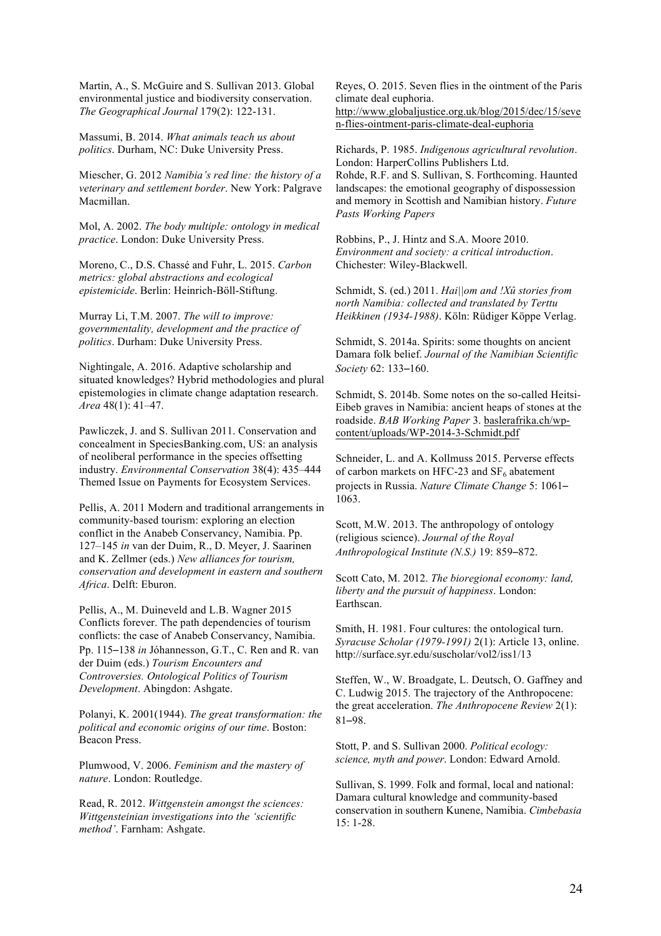Martin, A., S. McGuire and S. Sullivan 2013. Global environmental justice and biodiversity conservation. *The Geographical Journal* 179(2): 122-131.

Massumi, B. 2014. *What animals teach us about politics*. Durham, NC: Duke University Press.

Miescher, G. 2012 *Namibia's red line: the history of a veterinary and settlement border*. New York: Palgrave Macmillan.

Mol, A. 2002. *The body multiple: ontology in medical practice*. London: Duke University Press.

Moreno, C., D.S. Chassé and Fuhr, L. 2015. *Carbon metrics: global abstractions and ecological epistemicide*. Berlin: Heinrich-Böll-Stiftung.

Murray Li, T.M. 2007. *The will to improve: governmentality, development and the practice of politics*. Durham: Duke University Press.

Nightingale, A. 2016. Adaptive scholarship and situated knowledges? Hybrid methodologies and plural epistemologies in climate change adaptation research. *Area* 48(1): 41–47.

Pawliczek, J. and S. Sullivan 2011. Conservation and concealment in SpeciesBanking.com, US: an analysis of neoliberal performance in the species offsetting industry. *Environmental Conservation* 38(4): 435–444 Themed Issue on Payments for Ecosystem Services.

Pellis, A. 2011 Modern and traditional arrangements in community-based tourism: exploring an election conflict in the Anabeb Conservancy, Namibia. Pp. 127–145 *in* van der Duim, R., D. Meyer, J. Saarinen and K. Zellmer (eds.) *New alliances for tourism, conservation and development in eastern and southern Africa*. Delft: Eburon.

Pellis, A., M. Duineveld and L.B. Wagner 2015 Conflicts forever. The path dependencies of tourism conflicts: the case of Anabeb Conservancy, Namibia. Pp. 115–138 *in* Jóhannesson, G.T., C. Ren and R. van der Duim (eds.) *Tourism Encounters and Controversies. Ontological Politics of Tourism Development*. Abingdon: Ashgate.

Polanyi, K. 2001(1944). *The great transformation: the political and economic origins of our time*. Boston: Beacon Press.

Plumwood, V. 2006. *Feminism and the mastery of nature*. London: Routledge.

Read, R. 2012. *Wittgenstein amongst the sciences: Wittgensteinian investigations into the 'scientific method'*. Farnham: Ashgate.

Reyes, O. 2015. Seven flies in the ointment of the Paris climate deal euphoria.

http://www.globaljustice.org.uk/blog/2015/dec/15/seve n-flies-ointment-paris-climate-deal-euphoria

Richards, P. 1985. *Indigenous agricultural revolution*. London: HarperCollins Publishers Ltd.

Rohde, R.F. and S. Sullivan, S. Forthcoming. Haunted landscapes: the emotional geography of dispossession and memory in Scottish and Namibian history. *Future Pasts Working Papers*

Robbins, P., J. Hintz and S.A. Moore 2010. *Environment and society: a critical introduction*. Chichester: Wiley-Blackwell.

Schmidt, S. (ed.) 2011. *Hai||om and !Xû stories from north Namibia: collected and translated by Terttu Heikkinen (1934-1988)*. Köln: Rüdiger Köppe Verlag.

Schmidt, S. 2014a. Spirits: some thoughts on ancient Damara folk belief. *Journal of the Namibian Scientific Society* 62: 133–160.

Schmidt, S. 2014b. Some notes on the so-called Heitsi-Eibeb graves in Namibia: ancient heaps of stones at the roadside. *BAB Working Paper* 3. baslerafrika.ch/wpcontent/uploads/WP-2014-3-Schmidt.pdf

Schneider, L. and A. Kollmuss 2015. Perverse effects of carbon markets on HFC-23 and  $SF_6$  abatement projects in Russia. *Nature Climate Change* 5: 1061– 1063.

Scott, M.W. 2013. The anthropology of ontology (religious science). *Journal of the Royal Anthropological Institute (N.S.)* 19: 859–872.

Scott Cato, M. 2012. *The bioregional economy: land, liberty and the pursuit of happiness*. London: Earthscan.

Smith, H. 1981. Four cultures: the ontological turn. *Syracuse Scholar (1979-1991)* 2(1): Article 13, online. http://surface.syr.edu/suscholar/vol2/iss1/13

Steffen, W., W. Broadgate, L. Deutsch, O. Gaffney and C. Ludwig 2015. The trajectory of the Anthropocene: the great acceleration. *The Anthropocene Review* 2(1): 81–98.

Stott, P. and S. Sullivan 2000. *Political ecology: science, myth and power*. London: Edward Arnold.

Sullivan, S. 1999. Folk and formal, local and national: Damara cultural knowledge and community-based conservation in southern Kunene, Namibia. *Cimbebasia* 15: 1-28.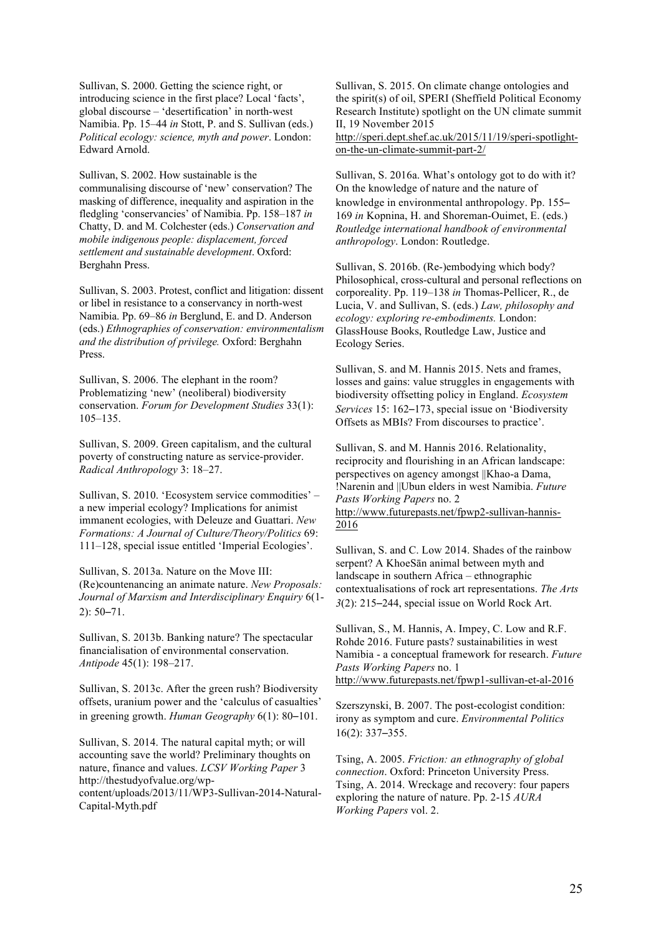Sullivan, S. 2000. Getting the science right, or introducing science in the first place? Local 'facts', global discourse – 'desertification' in north-west Namibia. Pp. 15–44 *in* Stott, P. and S. Sullivan (eds.) *Political ecology: science, myth and power*. London: Edward Arnold.

Sullivan, S. 2002. How sustainable is the communalising discourse of 'new' conservation? The masking of difference, inequality and aspiration in the fledgling 'conservancies' of Namibia. Pp. 158–187 *in* Chatty, D. and M. Colchester (eds.) *Conservation and mobile indigenous people: displacement, forced settlement and sustainable development*. Oxford: Berghahn Press.

Sullivan, S. 2003. Protest, conflict and litigation: dissent or libel in resistance to a conservancy in north-west Namibia. Pp. 69–86 *in* Berglund, E. and D. Anderson (eds.) *Ethnographies of conservation: environmentalism and the distribution of privilege.* Oxford: Berghahn Press.

Sullivan, S. 2006. The elephant in the room? Problematizing 'new' (neoliberal) biodiversity conservation. *Forum for Development Studies* 33(1): 105–135.

Sullivan, S. 2009. Green capitalism, and the cultural poverty of constructing nature as service-provider. *Radical Anthropology* 3: 18–27.

Sullivan, S. 2010. 'Ecosystem service commodities' – a new imperial ecology? Implications for animist immanent ecologies, with Deleuze and Guattari. *New Formations: A Journal of Culture/Theory/Politics* 69: 111–128, special issue entitled 'Imperial Ecologies'.

Sullivan, S. 2013a. Nature on the Move III: (Re)countenancing an animate nature. *New Proposals: Journal of Marxism and Interdisciplinary Enquiry* 6(1- 2): 50–71.

Sullivan, S. 2013b. Banking nature? The spectacular financialisation of environmental conservation. *Antipode* 45(1): 198–217.

Sullivan, S. 2013c. After the green rush? Biodiversity offsets, uranium power and the 'calculus of casualties' in greening growth. *Human Geography* 6(1): 80–101.

Sullivan, S. 2014. The natural capital myth; or will accounting save the world? Preliminary thoughts on nature, finance and values. *LCSV Working Paper* 3 http://thestudyofvalue.org/wpcontent/uploads/2013/11/WP3-Sullivan-2014-Natural-Capital-Myth.pdf

Sullivan, S. 2015. On climate change ontologies and the spirit(s) of oil, SPERI (Sheffield Political Economy Research Institute) spotlight on the UN climate summit II, 19 November 2015 http://speri.dept.shef.ac.uk/2015/11/19/speri-spotlighton-the-un-climate-summit-part-2/

Sullivan, S. 2016a. What's ontology got to do with it? On the knowledge of nature and the nature of knowledge in environmental anthropology. Pp. 155– 169 *in* Kopnina, H. and Shoreman-Ouimet, E. (eds.) *Routledge international handbook of environmental anthropology*. London: Routledge.

Sullivan, S. 2016b. (Re-)embodying which body? Philosophical, cross-cultural and personal reflections on corporeality. Pp. 119–138 *in* Thomas-Pellicer, R., de Lucia, V. and Sullivan, S. (eds.) *Law, philosophy and ecology: exploring re-embodiments.* London: GlassHouse Books, Routledge Law, Justice and Ecology Series.

Sullivan, S. and M. Hannis 2015. Nets and frames, losses and gains: value struggles in engagements with biodiversity offsetting policy in England. *Ecosystem Services* 15: 162–173, special issue on 'Biodiversity' Offsets as MBIs? From discourses to practice'.

Sullivan, S. and M. Hannis 2016. Relationality, reciprocity and flourishing in an African landscape: perspectives on agency amongst ||Khao-a Dama, !Narenin and ||Ubun elders in west Namibia. *Future Pasts Working Papers* no. 2 http://www.futurepasts.net/fpwp2-sullivan-hannis-2016

Sullivan, S. and C. Low 2014. Shades of the rainbow serpent? A KhoeSān animal between myth and landscape in southern Africa – ethnographic contextualisations of rock art representations. *The Arts 3*(2): 215–244, special issue on World Rock Art.

Sullivan, S., M. Hannis, A. Impey, C. Low and R.F. Rohde 2016. Future pasts? sustainabilities in west Namibia - a conceptual framework for research. *Future Pasts Working Papers* no. 1 http://www.futurepasts.net/fpwp1-sullivan-et-al-2016

Szerszynski, B. 2007. The post-ecologist condition: irony as symptom and cure. *Environmental Politics* 16(2): 337–355.

Tsing, A. 2005. *Friction: an ethnography of global connection*. Oxford: Princeton University Press. Tsing, A. 2014. Wreckage and recovery: four papers exploring the nature of nature. Pp. 2-15 *AURA Working Papers* vol. 2.